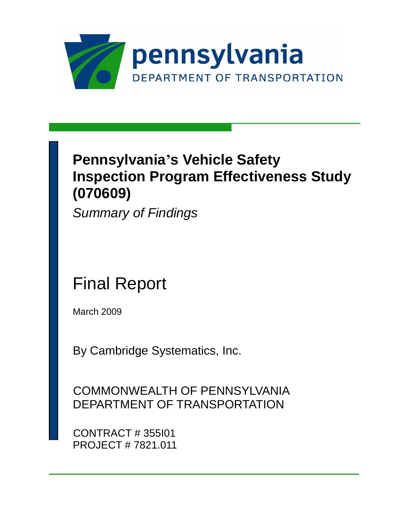

## **Pennsylvania's Vehicle Safety Inspection Program Effectiveness Study (070609)**

*Summary of Findings*

## Final Report

March 2009

By Cambridge Systematics, Inc.

COMMONWEALTH OF PENNSYLVANIA DEPARTMENT OF TRANSPORTATION

CONTRACT # 355I01 PROJECT # 7821.011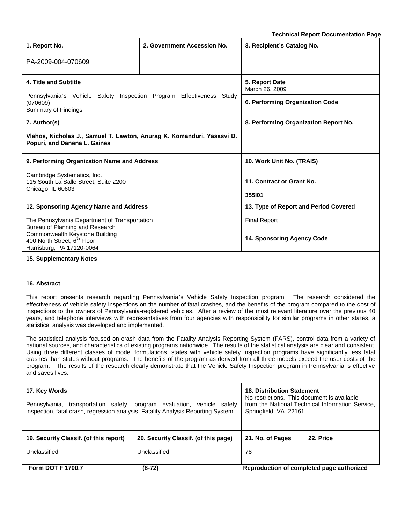**Technical Report Documentation Page**

| 1. Report No.                                                                                          | 2. Government Accession No.      | 3. Recipient's Catalog No.            |  |
|--------------------------------------------------------------------------------------------------------|----------------------------------|---------------------------------------|--|
| PA-2009-004-070609                                                                                     |                                  |                                       |  |
| 4. Title and Subtitle                                                                                  | 5. Report Date<br>March 26, 2009 |                                       |  |
| Pennsylvania's Vehicle Safety Inspection Program Effectiveness<br>(070609)<br>Summary of Findings      | 6. Performing Organization Code  |                                       |  |
| 7. Author(s)                                                                                           |                                  | 8. Performing Organization Report No. |  |
| Vlahos, Nicholas J., Samuel T. Lawton, Anurag K. Komanduri, Yasasvi D.<br>Popuri, and Danena L. Gaines |                                  |                                       |  |
| 9. Performing Organization Name and Address                                                            |                                  | 10. Work Unit No. (TRAIS)             |  |
| Cambridge Systematics, Inc.<br>115 South La Salle Street, Suite 2200<br>Chicago, IL 60603              |                                  | 11. Contract or Grant No.<br>355101   |  |
| 12. Sponsoring Agency Name and Address                                                                 |                                  | 13. Type of Report and Period Covered |  |
| The Pennsylvania Department of Transportation<br>Bureau of Planning and Research                       |                                  | <b>Final Report</b>                   |  |
| Commonwealth Keystone Building<br>400 North Street, 6 <sup>th</sup> Floor<br>Harrisburg, PA 17120-0064 | 14. Sponsoring Agency Code       |                                       |  |
| 15. Supplementary Notes                                                                                |                                  |                                       |  |

#### **16. Abstract**

This report presents research regarding Pennsylvania's Vehicle Safety Inspection program. The research considered the effectiveness of vehicle safety inspections on the number of fatal crashes, and the benefits of the program compared to the cost of inspections to the owners of Pennsylvania-registered vehicles. After a review of the most relevant literature over the previous 40 years, and telephone interviews with representatives from four agencies with responsibility for similar programs in other states, a statistical analysis was developed and implemented.

The statistical analysis focused on crash data from the Fatality Analysis Reporting System (FARS), control data from a variety of national sources, and characteristics of existing programs nationwide. The results of the statistical analysis are clear and consistent. Using three different classes of model formulations, states with vehicle safety inspection programs have significantly less fatal crashes than states without programs. The benefits of the program as derived from all three models exceed the user costs of the program. The results of the research clearly demonstrate that the Vehicle Safety Inspection program in Pennsylvania is effective and saves lives.

| 17. Key Words<br>Pennsylvania, transportation safety, program evaluation, vehicle safety<br>inspection, fatal crash, regression analysis, Fatality Analysis Reporting System |                                      | <b>18. Distribution Statement</b><br>No restrictions. This document is available<br>from the National Technical Information Service,<br>Springfield, VA 22161 |           |  |
|------------------------------------------------------------------------------------------------------------------------------------------------------------------------------|--------------------------------------|---------------------------------------------------------------------------------------------------------------------------------------------------------------|-----------|--|
|                                                                                                                                                                              |                                      |                                                                                                                                                               |           |  |
| 19. Security Classif. (of this report)                                                                                                                                       | 20. Security Classif. (of this page) | 21. No. of Pages                                                                                                                                              | 22. Price |  |
| Unclassified<br>Unclassified                                                                                                                                                 |                                      | 78                                                                                                                                                            |           |  |
| <b>Form DOT F 1700.7</b>                                                                                                                                                     | $(8-72)$                             | Reproduction of completed page authorized                                                                                                                     |           |  |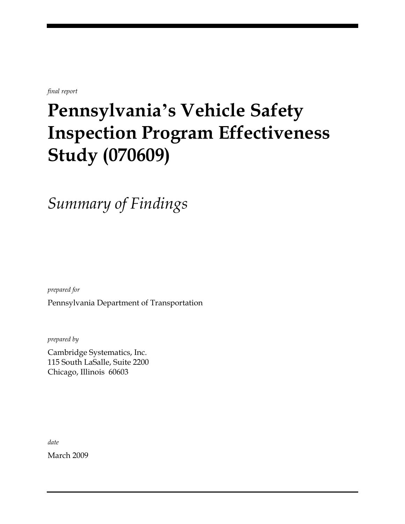*final report*

# **Pennsylvania's Vehicle Safety Inspection Program Effectiveness Study (070609)**

*Summary of Findings*

*prepared for*

Pennsylvania Department of Transportation

*prepared by*

Cambridge Systematics, Inc. 115 South LaSalle, Suite 2200 Chicago, Illinois 60603

*date* March 2009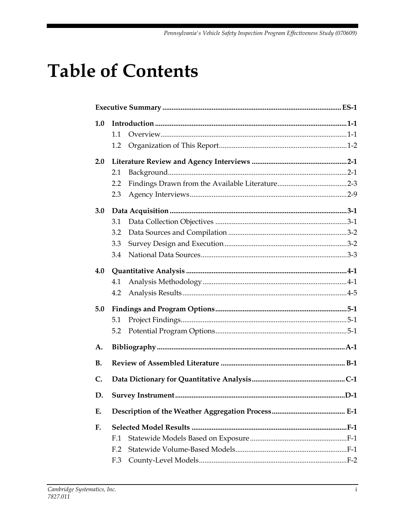# **Table of Contents**

| 1.0       |                 |  |
|-----------|-----------------|--|
|           | 1.1             |  |
|           | 1.2             |  |
| 2.0       |                 |  |
|           | 2.1             |  |
|           | 2.2             |  |
|           | 2.3             |  |
| 3.0       |                 |  |
|           | 3.1             |  |
|           | 3.2             |  |
|           | 3.3             |  |
|           | 3.4             |  |
| 4.0       |                 |  |
|           | 4.1             |  |
|           | 4.2             |  |
| 5.0       |                 |  |
|           | 5.1             |  |
|           | 5.2             |  |
| A.        |                 |  |
| <b>B.</b> |                 |  |
| C.        |                 |  |
| D.        |                 |  |
| E.        |                 |  |
| F.        |                 |  |
|           | F.1             |  |
|           | F <sub>.2</sub> |  |
|           | F.3             |  |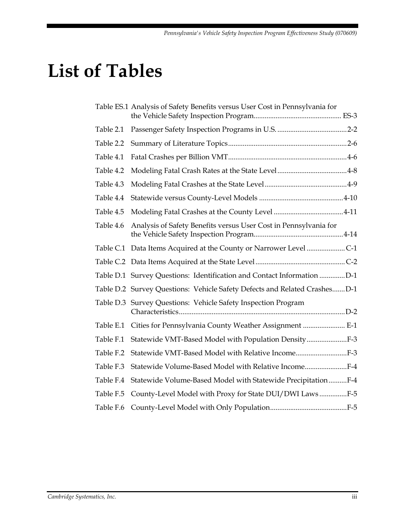# **List of Tables**

|           | Table ES.1 Analysis of Safety Benefits versus User Cost in Pennsylvania for |  |
|-----------|-----------------------------------------------------------------------------|--|
| Table 2.1 |                                                                             |  |
| Table 2.2 |                                                                             |  |
| Table 4.1 |                                                                             |  |
| Table 4.2 |                                                                             |  |
| Table 4.3 |                                                                             |  |
| Table 4.4 |                                                                             |  |
| Table 4.5 |                                                                             |  |
| Table 4.6 | Analysis of Safety Benefits versus User Cost in Pennsylvania for            |  |
|           | Table C.1 Data Items Acquired at the County or Narrower Level C-1           |  |
|           |                                                                             |  |
|           | Table D.1 Survey Questions: Identification and Contact Information D-1      |  |
|           | Table D.2 Survey Questions: Vehicle Safety Defects and Related CrashesD-1   |  |
|           | Table D.3 Survey Questions: Vehicle Safety Inspection Program               |  |
| Table E.1 | Cities for Pennsylvania County Weather Assignment  E-1                      |  |
| Table F.1 | Statewide VMT-Based Model with Population Density                           |  |
| Table F.2 | Statewide VMT-Based Model with Relative IncomeF-3                           |  |
| Table F.3 | Statewide Volume-Based Model with Relative IncomeF-4                        |  |
| Table F.4 | Statewide Volume-Based Model with Statewide PrecipitationF-4                |  |
| Table F.5 | County-Level Model with Proxy for State DUI/DWI LawsF-5                     |  |
| Table F.6 |                                                                             |  |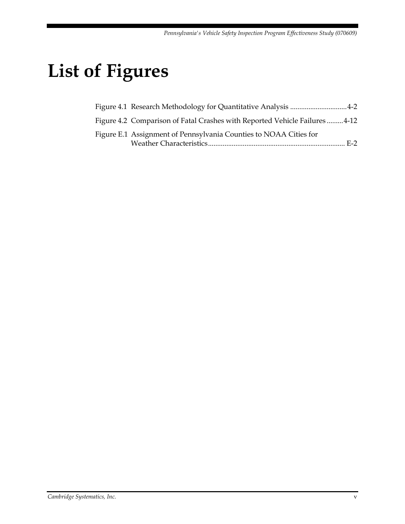# **List of Figures**

| Figure 4.1 Research Methodology for Quantitative Analysis 4-2             |  |
|---------------------------------------------------------------------------|--|
| Figure 4.2 Comparison of Fatal Crashes with Reported Vehicle Failures4-12 |  |
| Figure E.1 Assignment of Pennsylvania Counties to NOAA Cities for         |  |
|                                                                           |  |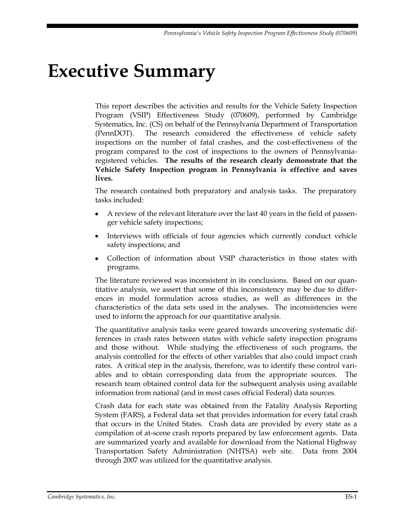# <span id="page-12-0"></span>**Executive Summary**

This report describes the activities and results for the Vehicle Safety Inspection Program (VSIP) Effectiveness Study (070609), performed by Cambridge Systematics, Inc. (CS) on behalf of the Pennsylvania Department of Transportation (PennDOT). The research considered the effectiveness of vehicle safety inspections on the number of fatal crashes, and the cost-effectiveness of the program compared to the cost of inspections to the owners of Pennsylvaniaregistered vehicles. **The results of the research clearly demonstrate that the Vehicle Safety Inspection program in Pennsylvania is effective and saves lives.**

The research contained both preparatory and analysis tasks. The preparatory tasks included:

- $\bullet$ A review of the relevant literature over the last 40 years in the field of passenger vehicle safety inspections;
- Interviews with officials of four agencies which currently conduct vehicle safety inspections; and
- Collection of information about VSIP characteristics in those states with programs.

The literature reviewed was inconsistent in its conclusions. Based on our quantitative analysis, we assert that some of this inconsistency may be due to differences in model formulation across studies, as well as differences in the characteristics of the data sets used in the analyses. The inconsistencies were used to inform the approach for our quantitative analysis.

The quantitative analysis tasks were geared towards uncovering systematic differences in crash rates between states with vehicle safety inspection programs and those without. While studying the effectiveness of such programs, the analysis controlled for the effects of other variables that also could impact crash rates. A critical step in the analysis, therefore, was to identify these control variables and to obtain corresponding data from the appropriate sources. The research team obtained control data for the subsequent analysis using available information from national (and in most cases official Federal) data sources.

Crash data for each state was obtained from the Fatality Analysis Reporting System (FARS), a Federal data set that provides information for every fatal crash that occurs in the United States. Crash data are provided by every state as a compilation of at-scene crash reports prepared by law enforcement agents. Data are summarized yearly and available for download from the National Highway Transportation Safety Administration (NHTSA) web site. Data from 2004 through 2007 was utilized for the quantitative analysis.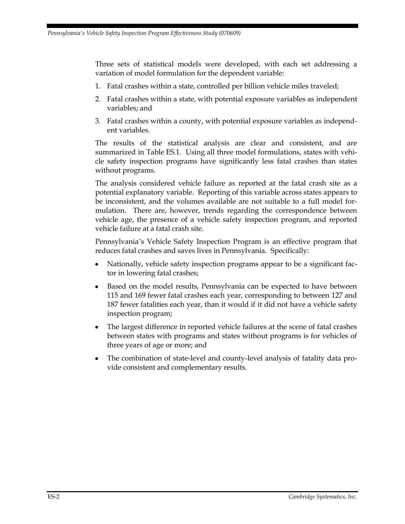Three sets of statistical models were developed, with each set addressing a variation of model formulation for the dependent variable:

- 1. Fatal crashes within a state, controlled per billion vehicle miles traveled;
- 2. Fatal crashes within a state, with potential exposure variables as independent variables; and
- 3. Fatal crashes within a county, with potential exposure variables as independent variables.

The results of the statistical analysis are clear and consistent, and are summarized in Table ES.1. Using all three model formulations, states with vehicle safety inspection programs have significantly less fatal crashes than states without programs.

The analysis considered vehicle failure as reported at the fatal crash site as a potential explanatory variable. Reporting of this variable across states appears to be inconsistent, and the volumes available are not suitable to a full model formulation. There are, however, trends regarding the correspondence between vehicle age, the presence of a vehicle safety inspection program, and reported vehicle failure at a fatal crash site.

Pennsylvania's Vehicle Safety Inspection Program is an effective program that reduces fatal crashes and saves lives in Pennsylvania. Specifically:

- Nationally, vehicle safety inspection programs appear to be a significant factor in lowering fatal crashes;
- Based on the model results, Pennsylvania can be expected to have between 115 and 169 fewer fatal crashes each year, corresponding to between 127 and 187 fewer fatalities each year, than it would if it did not have a vehicle safety inspection program;
- The largest difference in reported vehicle failures at the scene of fatal crashes between states with programs and states without programs is for vehicles of three years of age or more; and
- The combination of state-level and county-level analysis of fatality data provide consistent and complementary results.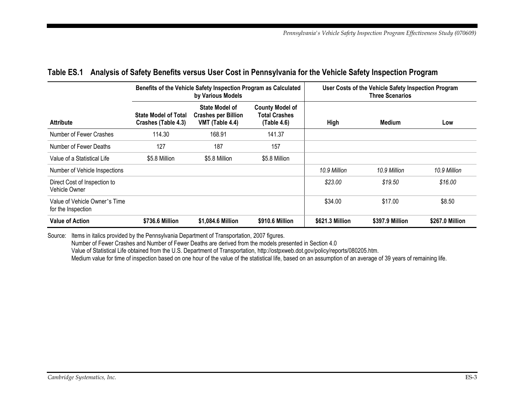|                                                     |                                                    | Benefits of the Vehicle Safety Inspection Program as Calculated<br>by Various Models |                                                        | User Costs of the Vehicle Safety Inspection Program<br><b>Three Scenarios</b> |                 |                 |
|-----------------------------------------------------|----------------------------------------------------|--------------------------------------------------------------------------------------|--------------------------------------------------------|-------------------------------------------------------------------------------|-----------------|-----------------|
| <b>Attribute</b>                                    | <b>State Model of Total</b><br>Crashes (Table 4.3) | State Model of<br><b>Crashes per Billion</b><br>VMT (Table 4.4)                      | <b>County Model of</b><br>Total Crashes<br>(Table 4.6) | High                                                                          | Medium          | Low             |
| Number of Fewer Crashes                             | 114.30                                             | 168.91                                                                               | 141.37                                                 |                                                                               |                 |                 |
| Number of Fewer Deaths                              | 127                                                | 187                                                                                  | 157                                                    |                                                                               |                 |                 |
| Value of a Statistical Life                         | \$5.8 Million                                      | \$5.8 Million                                                                        | \$5.8 Million                                          |                                                                               |                 |                 |
| Number of Vehicle Inspections                       |                                                    |                                                                                      |                                                        | 10.9 Million                                                                  | 10.9 Million    | 10.9 Million    |
| Direct Cost of Inspection to<br>Vehicle Owner       |                                                    |                                                                                      |                                                        | \$23.00                                                                       | \$19.50         | \$16.00         |
| Value of Vehicle Owner's Time<br>for the Inspection |                                                    |                                                                                      |                                                        | \$34.00                                                                       | \$17.00         | \$8.50          |
| <b>Value of Action</b>                              | \$736.6 Million                                    | \$1,084.6 Million                                                                    | \$910.6 Million                                        | \$621.3 Million                                                               | \$397.9 Million | \$267.0 Million |

#### **Table ES.1 Analysis of Safety Benefits versus User Cost in Pennsylvania for the Vehicle Safety Inspection Program**

<span id="page-14-0"></span>Source: Items in italics provided by the Pennsylvania Department of Transportation, 2007 figures.

Number of Fewer Crashes and Number of Fewer Deaths are derived from the models presented in Section 4.0

Value of Statistical Life obtained from the U.S. Department of Transportation, http://ostpxweb.dot.gov/policy/reports/080205.htm.

Medium value for time of inspection based on one hour of the value of the statistical life, based on an assumption of an average of 39 years of remaining life.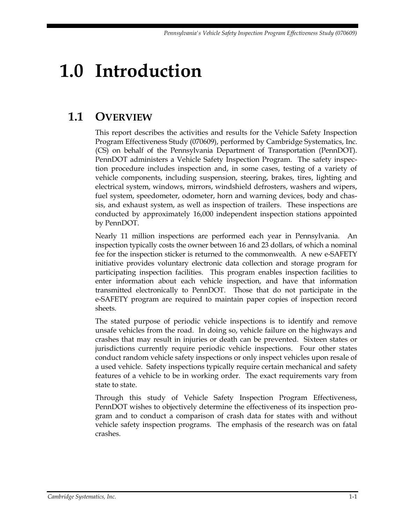# <span id="page-16-0"></span>**1.0 Introduction**

## <span id="page-16-1"></span>**1.1 OVERVIEW**

This report describes the activities and results for the Vehicle Safety Inspection Program Effectiveness Study (070609), performed by Cambridge Systematics, Inc. (CS) on behalf of the Pennsylvania Department of Transportation (PennDOT). PennDOT administers a Vehicle Safety Inspection Program. The safety inspection procedure includes inspection and, in some cases, testing of a variety of vehicle components, including suspension, steering, brakes, tires, lighting and electrical system, windows, mirrors, windshield defrosters, washers and wipers, fuel system, speedometer, odometer, horn and warning devices, body and chassis, and exhaust system, as well as inspection of trailers. These inspections are conducted by approximately 16,000 independent inspection stations appointed by PennDOT.

Nearly 11 million inspections are performed each year in Pennsylvania. An inspection typically costs the owner between 16 and 23 dollars, of which a nominal fee for the inspection sticker is returned to the commonwealth. A new e-SAFETY initiative provides voluntary electronic data collection and storage program for participating inspection facilities. This program enables inspection facilities to enter information about each vehicle inspection, and have that information transmitted electronically to PennDOT. Those that do not participate in the e-SAFETY program are required to maintain paper copies of inspection record sheets.

The stated purpose of periodic vehicle inspections is to identify and remove unsafe vehicles from the road. In doing so, vehicle failure on the highways and crashes that may result in injuries or death can be prevented. Sixteen states or jurisdictions currently require periodic vehicle inspections. Four other states conduct random vehicle safety inspections or only inspect vehicles upon resale of a used vehicle. Safety inspections typically require certain mechanical and safety features of a vehicle to be in working order. The exact requirements vary from state to state.

Through this study of Vehicle Safety Inspection Program Effectiveness, PennDOT wishes to objectively determine the effectiveness of its inspection program and to conduct a comparison of crash data for states with and without vehicle safety inspection programs. The emphasis of the research was on fatal crashes.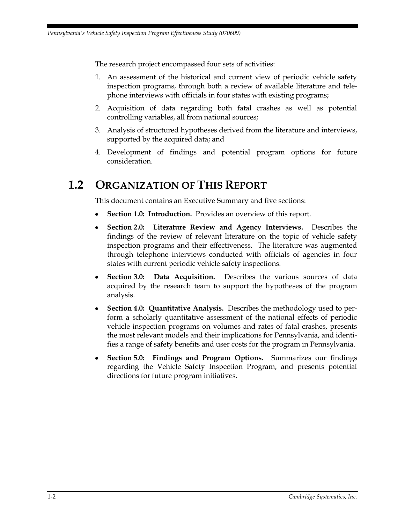The research project encompassed four sets of activities:

- 1. An assessment of the historical and current view of periodic vehicle safety inspection programs, through both a review of available literature and telephone interviews with officials in four states with existing programs;
- 2. Acquisition of data regarding both fatal crashes as well as potential controlling variables, all from national sources;
- 3. Analysis of structured hypotheses derived from the literature and interviews, supported by the acquired data; and
- 4. Development of findings and potential program options for future consideration.

### <span id="page-17-0"></span>**1.2 ORGANIZATION OF THIS REPORT**

This document contains an Executive Summary and five sections:

- **Section 1.0: Introduction.** Provides an overview of this report.
- $\bullet$ **Section 2.0: Literature Review and Agency Interviews.** Describes the findings of the review of relevant literature on the topic of vehicle safety inspection programs and their effectiveness. The literature was augmented through telephone interviews conducted with officials of agencies in four states with current periodic vehicle safety inspections.
- **Section 3.0: Data Acquisition.** Describes the various sources of data  $\bullet$ acquired by the research team to support the hypotheses of the program analysis.
- **Section 4.0: Quantitative Analysis.** Describes the methodology used to perform a scholarly quantitative assessment of the national effects of periodic vehicle inspection programs on volumes and rates of fatal crashes, presents the most relevant models and their implications for Pennsylvania, and identifies a range of safety benefits and user costs for the program in Pennsylvania.
- **Section 5.0: Findings and Program Options.** Summarizes our findings regarding the Vehicle Safety Inspection Program, and presents potential directions for future program initiatives.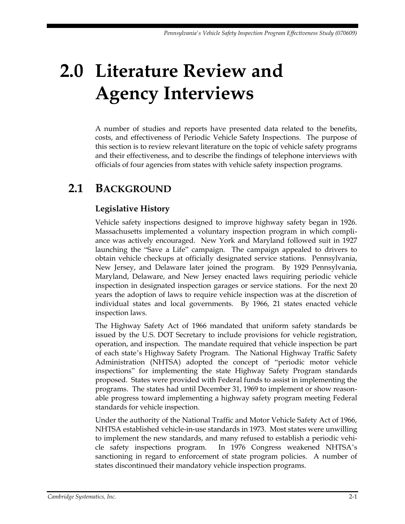# <span id="page-18-0"></span>**2.0 Literature Review and Agency Interviews**

A number of studies and reports have presented data related to the benefits, costs, and effectiveness of Periodic Vehicle Safety Inspections. The purpose of this section is to review relevant literature on the topic of vehicle safety programs and their effectiveness, and to describe the findings of telephone interviews with officials of four agencies from states with vehicle safety inspection programs.

## <span id="page-18-1"></span>**2.1 BACKGROUND**

### **Legislative History**

Vehicle safety inspections designed to improve highway safety began in 1926. Massachusetts implemented a voluntary inspection program in which compliance was actively encouraged. New York and Maryland followed suit in 1927 launching the "Save a Life" campaign. The campaign appealed to drivers to obtain vehicle checkups at officially designated service stations. Pennsylvania, New Jersey, and Delaware later joined the program. By 1929 Pennsylvania, Maryland, Delaware, and New Jersey enacted laws requiring periodic vehicle inspection in designated inspection garages or service stations. For the next 20 years the adoption of laws to require vehicle inspection was at the discretion of individual states and local governments. By 1966, 21 states enacted vehicle inspection laws.

The Highway Safety Act of 1966 mandated that uniform safety standards be issued by the U.S. DOT Secretary to include provisions for vehicle registration, operation, and inspection. The mandate required that vehicle inspection be part of each state's Highway Safety Program. The National Highway Traffic Safety Administration (NHTSA) adopted the concept of "periodic motor vehicle inspections" for implementing the state Highway Safety Program standards proposed. States were provided with Federal funds to assist in implementing the programs. The states had until December 31, 1969 to implement or show reasonable progress toward implementing a highway safety program meeting Federal standards for vehicle inspection.

Under the authority of the National Traffic and Motor Vehicle Safety Act of 1966, NHTSA established vehicle-in-use standards in 1973. Most states were unwilling to implement the new standards, and many refused to establish a periodic vehicle safety inspections program. In 1976 Congress weakened NHTSA's sanctioning in regard to enforcement of state program policies. A number of states discontinued their mandatory vehicle inspection programs.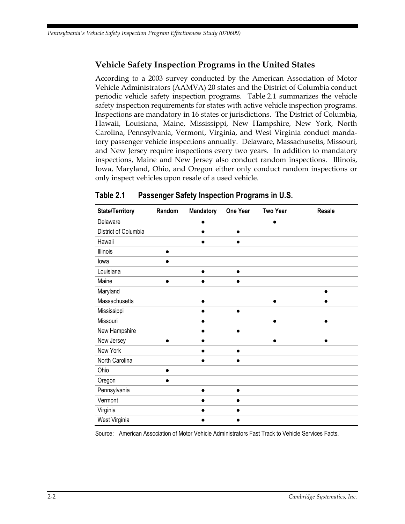#### **Vehicle Safety Inspection Programs in the United States**

According to a 2003 survey conducted by the American Association of Motor Vehicle Administrators (AAMVA) 20 states and the District of Columbia conduct periodic vehicle safety inspection programs. Table 2.1 summarizes the vehicle safety inspection requirements for states with active vehicle inspection programs. Inspections are mandatory in 16 states or jurisdictions. The District of Columbia, Hawaii, Louisiana, Maine, Mississippi, New Hampshire, New York, North Carolina, Pennsylvania, Vermont, Virginia, and West Virginia conduct mandatory passenger vehicle inspections annually. Delaware, Massachusetts, Missouri, and New Jersey require inspections every two years. In addition to mandatory inspections, Maine and New Jersey also conduct random inspections. Illinois, Iowa, Maryland, Ohio, and Oregon either only conduct random inspections or only inspect vehicles upon resale of a used vehicle.

| <b>State/Territory</b> | Random | Mandatory | One Year  | <b>Two Year</b> | <b>Resale</b> |
|------------------------|--------|-----------|-----------|-----------------|---------------|
| Delaware               |        | 0         |           |                 |               |
| District of Columbia   |        | e         | $\bullet$ |                 |               |
| Hawaii                 |        | 8         |           |                 |               |
| Illinois               | ●      |           |           |                 |               |
| lowa                   |        |           |           |                 |               |
| Louisiana              |        | $\bullet$ | $\bullet$ |                 |               |
| Maine                  |        |           |           |                 |               |
| Maryland               |        |           |           |                 |               |
| Massachusetts          |        | $\bullet$ |           | $\bullet$       | $\bullet$     |
| Mississippi            |        |           | $\bullet$ |                 |               |
| Missouri               |        | 8         |           |                 |               |
| New Hampshire          |        |           | $\bullet$ |                 |               |
| New Jersey             |        | ●         |           | $\bullet$       | $\bullet$     |
| New York               |        | ●         | ●         |                 |               |
| North Carolina         |        |           |           |                 |               |
| Ohio                   |        |           |           |                 |               |
| Oregon                 |        |           |           |                 |               |
| Pennsylvania           |        | e         | ●         |                 |               |
| Vermont                |        |           | $\bullet$ |                 |               |
| Virginia               |        |           |           |                 |               |
| West Virginia          |        |           |           |                 |               |

<span id="page-19-0"></span>**Table 2.1 Passenger Safety Inspection Programs in U.S.**

Source: American Association of Motor Vehicle Administrators Fast Track to Vehicle Services Facts.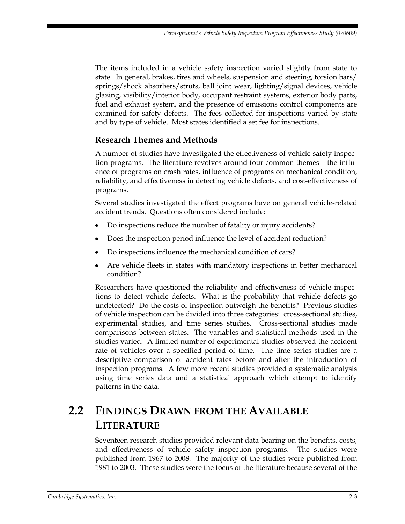The items included in a vehicle safety inspection varied slightly from state to state. In general, brakes, tires and wheels, suspension and steering, torsion bars/ springs/shock absorbers/struts, ball joint wear, lighting/signal devices, vehicle glazing, visibility/interior body, occupant restraint systems, exterior body parts, fuel and exhaust system, and the presence of emissions control components are examined for safety defects. The fees collected for inspections varied by state and by type of vehicle. Most states identified a set fee for inspections.

#### **Research Themes and Methods**

A number of studies have investigated the effectiveness of vehicle safety inspection programs. The literature revolves around four common themes – the influence of programs on crash rates, influence of programs on mechanical condition, reliability, and effectiveness in detecting vehicle defects, and cost-effectiveness of programs.

Several studies investigated the effect programs have on general vehicle-related accident trends. Questions often considered include:

- Do inspections reduce the number of fatality or injury accidents?
- Does the inspection period influence the level of accident reduction?
- Do inspections influence the mechanical condition of cars?
- Are vehicle fleets in states with mandatory inspections in better mechanical condition?

Researchers have questioned the reliability and effectiveness of vehicle inspections to detect vehicle defects. What is the probability that vehicle defects go undetected? Do the costs of inspection outweigh the benefits? Previous studies of vehicle inspection can be divided into three categories: cross-sectional studies, experimental studies, and time series studies. Cross-sectional studies made comparisons between states. The variables and statistical methods used in the studies varied. A limited number of experimental studies observed the accident rate of vehicles over a specified period of time. The time series studies are a descriptive comparison of accident rates before and after the introduction of inspection programs. A few more recent studies provided a systematic analysis using time series data and a statistical approach which attempt to identify patterns in the data.

## <span id="page-20-0"></span>**2.2 FINDINGS DRAWN FROM THE AVAILABLE LITERATURE**

Seventeen research studies provided relevant data bearing on the benefits, costs, and effectiveness of vehicle safety inspection programs. The studies were published from 1967 to 2008. The majority of the studies were published from 1981 to 2003. These studies were the focus of the literature because several of the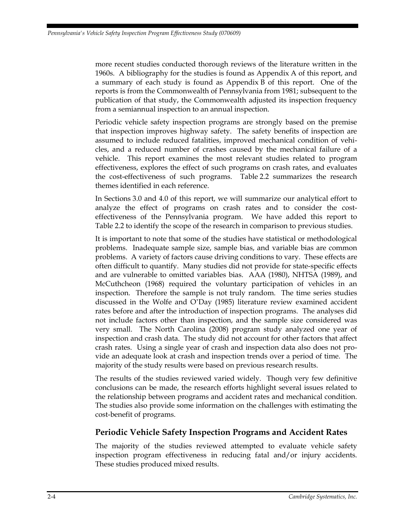more recent studies conducted thorough reviews of the literature written in the 1960s. A bibliography for the studies is found as Appendix A of this report, and a summary of each study is found as Appendix B of this report. One of the reports is from the Commonwealth of Pennsylvania from 1981; subsequent to the publication of that study, the Commonwealth adjusted its inspection frequency from a semiannual inspection to an annual inspection.

Periodic vehicle safety inspection programs are strongly based on the premise that inspection improves highway safety. The safety benefits of inspection are assumed to include reduced fatalities, improved mechanical condition of vehicles, and a reduced number of crashes caused by the mechanical failure of a vehicle. This report examines the most relevant studies related to program effectiveness, explores the effect of such programs on crash rates, and evaluates the cost-effectiveness of such programs. Table 2.2 summarizes the research themes identified in each reference.

In Sections 3.0 and 4.0 of this report, we will summarize our analytical effort to analyze the effect of programs on crash rates and to consider the costeffectiveness of the Pennsylvania program. We have added this report to Table 2.2 to identify the scope of the research in comparison to previous studies.

It is important to note that some of the studies have statistical or methodological problems. Inadequate sample size, sample bias, and variable bias are common problems. A variety of factors cause driving conditions to vary. These effects are often difficult to quantify. Many studies did not provide for state-specific effects and are vulnerable to omitted variables bias. AAA (1980), NHTSA (1989), and McCuthcheon (1968) required the voluntary participation of vehicles in an inspection. Therefore the sample is not truly random. The time series studies discussed in the Wolfe and O'Day (1985) literature review examined accident rates before and after the introduction of inspection programs. The analyses did not include factors other than inspection, and the sample size considered was very small. The North Carolina (2008) program study analyzed one year of inspection and crash data. The study did not account for other factors that affect crash rates. Using a single year of crash and inspection data also does not provide an adequate look at crash and inspection trends over a period of time. The majority of the study results were based on previous research results.

The results of the studies reviewed varied widely. Though very few definitive conclusions can be made, the research efforts highlight several issues related to the relationship between programs and accident rates and mechanical condition. The studies also provide some information on the challenges with estimating the cost-benefit of programs.

#### **Periodic Vehicle Safety Inspection Programs and Accident Rates**

The majority of the studies reviewed attempted to evaluate vehicle safety inspection program effectiveness in reducing fatal and/or injury accidents. These studies produced mixed results.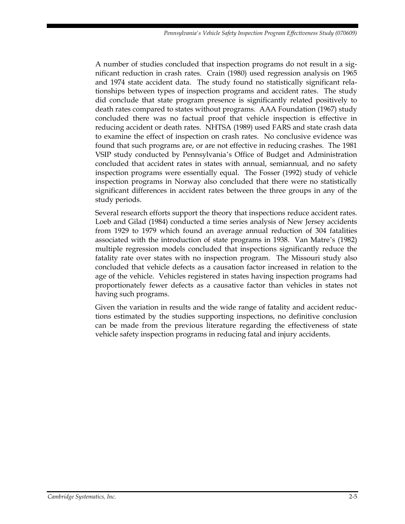A number of studies concluded that inspection programs do not result in a significant reduction in crash rates. Crain (1980) used regression analysis on 1965 and 1974 state accident data. The study found no statistically significant relationships between types of inspection programs and accident rates. The study did conclude that state program presence is significantly related positively to death rates compared to states without programs. AAA Foundation (1967) study concluded there was no factual proof that vehicle inspection is effective in reducing accident or death rates. NHTSA (1989) used FARS and state crash data to examine the effect of inspection on crash rates. No conclusive evidence was found that such programs are, or are not effective in reducing crashes. The 1981 VSIP study conducted by Pennsylvania's Office of Budget and Administration concluded that accident rates in states with annual, semiannual, and no safety inspection programs were essentially equal. The Fosser (1992) study of vehicle inspection programs in Norway also concluded that there were no statistically significant differences in accident rates between the three groups in any of the study periods.

Several research efforts support the theory that inspections reduce accident rates. Loeb and Gilad (1984) conducted a time series analysis of New Jersey accidents from 1929 to 1979 which found an average annual reduction of 304 fatalities associated with the introduction of state programs in 1938. Van Matre's (1982) multiple regression models concluded that inspections significantly reduce the fatality rate over states with no inspection program. The Missouri study also concluded that vehicle defects as a causation factor increased in relation to the age of the vehicle. Vehicles registered in states having inspection programs had proportionately fewer defects as a causative factor than vehicles in states not having such programs.

Given the variation in results and the wide range of fatality and accident reductions estimated by the studies supporting inspections, no definitive conclusion can be made from the previous literature regarding the effectiveness of state vehicle safety inspection programs in reducing fatal and injury accidents.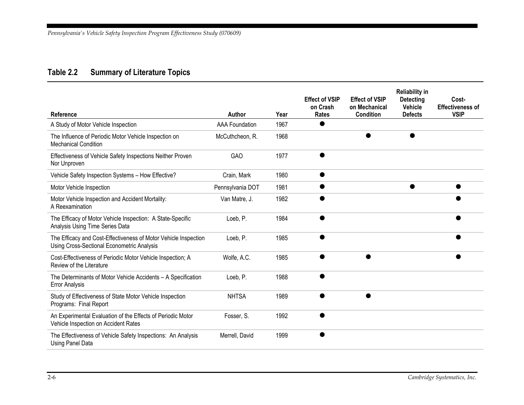### **Table 2.2 Summary of Literature Topics**

<span id="page-23-0"></span>

| Reference                                                                                                     | Author                | Year | <b>Effect of VSIP</b><br>on Crash<br>Rates | <b>Effect of VSIP</b><br>on Mechanical<br><b>Condition</b> | <b>Reliability in</b><br><b>Detecting</b><br><b>Vehicle</b><br><b>Defects</b> | Cost-<br><b>Effectiveness of</b><br><b>VSIP</b> |
|---------------------------------------------------------------------------------------------------------------|-----------------------|------|--------------------------------------------|------------------------------------------------------------|-------------------------------------------------------------------------------|-------------------------------------------------|
| A Study of Motor Vehicle Inspection                                                                           | <b>AAA Foundation</b> | 1967 |                                            |                                                            |                                                                               |                                                 |
| The Influence of Periodic Motor Vehicle Inspection on<br><b>Mechanical Condition</b>                          | McCuthcheon, R.       | 1968 |                                            |                                                            | ●                                                                             |                                                 |
| Effectiveness of Vehicle Safety Inspections Neither Proven<br>Nor Unproven                                    | <b>GAO</b>            | 1977 |                                            |                                                            |                                                                               |                                                 |
| Vehicle Safety Inspection Systems - How Effective?                                                            | Crain, Mark           | 1980 |                                            |                                                            |                                                                               |                                                 |
| Motor Vehicle Inspection                                                                                      | Pennsylvania DOT      | 1981 |                                            |                                                            | ●                                                                             |                                                 |
| Motor Vehicle Inspection and Accident Mortality:<br>A Reexamination                                           | Van Matre, J.         | 1982 |                                            |                                                            |                                                                               |                                                 |
| The Efficacy of Motor Vehicle Inspection: A State-Specific<br>Analysis Using Time Series Data                 | Loeb, P.              | 1984 |                                            |                                                            |                                                                               |                                                 |
| The Efficacy and Cost-Effectiveness of Motor Vehicle Inspection<br>Using Cross-Sectional Econometric Analysis | Loeb, P.              | 1985 |                                            |                                                            |                                                                               |                                                 |
| Cost-Effectiveness of Periodic Motor Vehicle Inspection; A<br>Review of the Literature                        | Wolfe, A.C.           | 1985 |                                            |                                                            |                                                                               |                                                 |
| The Determinants of Motor Vehicle Accidents - A Specification<br><b>Error Analysis</b>                        | Loeb, P.              | 1988 |                                            |                                                            |                                                                               |                                                 |
| Study of Effectiveness of State Motor Vehicle Inspection<br>Programs: Final Report                            | <b>NHTSA</b>          | 1989 |                                            |                                                            |                                                                               |                                                 |
| An Experimental Evaluation of the Effects of Periodic Motor<br>Vehicle Inspection on Accident Rates           | Fosser, S.            | 1992 |                                            |                                                            |                                                                               |                                                 |
| The Effectiveness of Vehicle Safety Inspections: An Analysis<br>Using Panel Data                              | Merrell, David        | 1999 |                                            |                                                            |                                                                               |                                                 |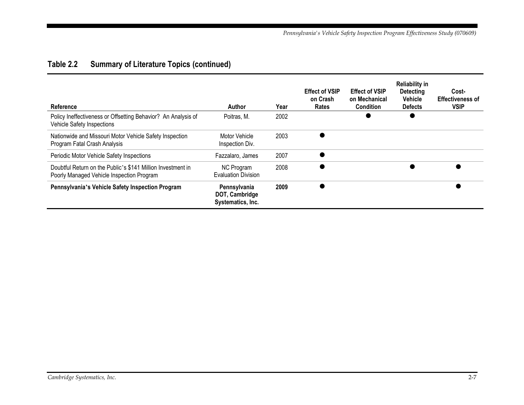### **Table 2.2 Summary of Literature Topics (continued)**

| Reference                                                                                                | Author                                              | Year | <b>Effect of VSIP</b><br>on Crash<br>Rates | <b>Effect of VSIP</b><br>on Mechanical<br><b>Condition</b> | <b>Reliability in</b><br><b>Detecting</b><br><b>Vehicle</b><br><b>Defects</b> | Cost-<br><b>Effectiveness of</b><br><b>VSIP</b> |
|----------------------------------------------------------------------------------------------------------|-----------------------------------------------------|------|--------------------------------------------|------------------------------------------------------------|-------------------------------------------------------------------------------|-------------------------------------------------|
| Policy Ineffectiveness or Offsetting Behavior? An Analysis of<br>Vehicle Safety Inspections              | Poitras, M.                                         | 2002 |                                            |                                                            |                                                                               |                                                 |
| Nationwide and Missouri Motor Vehicle Safety Inspection<br>Program Fatal Crash Analysis                  | Motor Vehicle<br>Inspection Div.                    | 2003 |                                            |                                                            |                                                                               |                                                 |
| Periodic Motor Vehicle Safety Inspections                                                                | Fazzalaro, James                                    | 2007 |                                            |                                                            |                                                                               |                                                 |
| Doubtful Return on the Public's \$141 Million Investment in<br>Poorly Managed Vehicle Inspection Program | <b>NC Program</b><br><b>Evaluation Division</b>     | 2008 |                                            |                                                            |                                                                               |                                                 |
| Pennsylvania's Vehicle Safety Inspection Program                                                         | Pennsylvania<br>DOT, Cambridge<br>Systematics, Inc. | 2009 |                                            |                                                            |                                                                               |                                                 |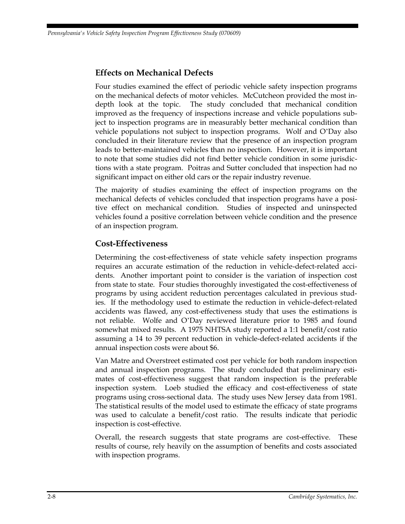#### **Effects on Mechanical Defects**

Four studies examined the effect of periodic vehicle safety inspection programs on the mechanical defects of motor vehicles. McCutcheon provided the most indepth look at the topic. The study concluded that mechanical condition improved as the frequency of inspections increase and vehicle populations subject to inspection programs are in measurably better mechanical condition than vehicle populations not subject to inspection programs. Wolf and O'Day also concluded in their literature review that the presence of an inspection program leads to better-maintained vehicles than no inspection. However, it is important to note that some studies did not find better vehicle condition in some jurisdictions with a state program. Poitras and Sutter concluded that inspection had no significant impact on either old cars or the repair industry revenue.

The majority of studies examining the effect of inspection programs on the mechanical defects of vehicles concluded that inspection programs have a positive effect on mechanical condition. Studies of inspected and uninspected vehicles found a positive correlation between vehicle condition and the presence of an inspection program.

#### **Cost-Effectiveness**

Determining the cost-effectiveness of state vehicle safety inspection programs requires an accurate estimation of the reduction in vehicle-defect-related accidents. Another important point to consider is the variation of inspection cost from state to state. Four studies thoroughly investigated the cost-effectiveness of programs by using accident reduction percentages calculated in previous studies. If the methodology used to estimate the reduction in vehicle-defect-related accidents was flawed, any cost-effectiveness study that uses the estimations is not reliable. Wolfe and O'Day reviewed literature prior to 1985 and found somewhat mixed results. A 1975 NHTSA study reported a 1:1 benefit/cost ratio assuming a 14 to 39 percent reduction in vehicle-defect-related accidents if the annual inspection costs were about \$6.

Van Matre and Overstreet estimated cost per vehicle for both random inspection and annual inspection programs. The study concluded that preliminary estimates of cost-effectiveness suggest that random inspection is the preferable inspection system. Loeb studied the efficacy and cost-effectiveness of state programs using cross-sectional data. The study uses New Jersey data from 1981. The statistical results of the model used to estimate the efficacy of state programs was used to calculate a benefit/cost ratio. The results indicate that periodic inspection is cost-effective.

Overall, the research suggests that state programs are cost-effective. These results of course, rely heavily on the assumption of benefits and costs associated with inspection programs.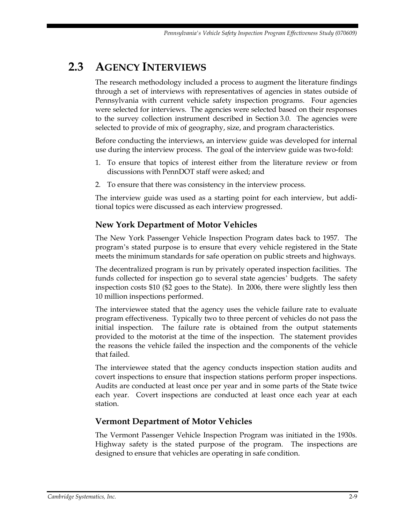### <span id="page-26-0"></span>**2.3 AGENCY INTERVIEWS**

The research methodology included a process to augment the literature findings through a set of interviews with representatives of agencies in states outside of Pennsylvania with current vehicle safety inspection programs. Four agencies were selected for interviews. The agencies were selected based on their responses to the survey collection instrument described in Section 3.0. The agencies were selected to provide of mix of geography, size, and program characteristics.

Before conducting the interviews, an interview guide was developed for internal use during the interview process. The goal of the interview guide was two-fold:

- 1. To ensure that topics of interest either from the literature review or from discussions with PennDOT staff were asked; and
- 2. To ensure that there was consistency in the interview process.

The interview guide was used as a starting point for each interview, but additional topics were discussed as each interview progressed.

#### **New York Department of Motor Vehicles**

The New York Passenger Vehicle Inspection Program dates back to 1957. The program's stated purpose is to ensure that every vehicle registered in the State meets the minimum standards for safe operation on public streets and highways.

The decentralized program is run by privately operated inspection facilities. The funds collected for inspection go to several state agencies' budgets. The safety inspection costs \$10 (\$2 goes to the State). In 2006, there were slightly less then 10 million inspections performed.

The interviewee stated that the agency uses the vehicle failure rate to evaluate program effectiveness. Typically two to three percent of vehicles do not pass the initial inspection. The failure rate is obtained from the output statements provided to the motorist at the time of the inspection. The statement provides the reasons the vehicle failed the inspection and the components of the vehicle that failed.

The interviewee stated that the agency conducts inspection station audits and covert inspections to ensure that inspection stations perform proper inspections. Audits are conducted at least once per year and in some parts of the State twice each year. Covert inspections are conducted at least once each year at each station.

#### **Vermont Department of Motor Vehicles**

The Vermont Passenger Vehicle Inspection Program was initiated in the 1930s. Highway safety is the stated purpose of the program. The inspections are designed to ensure that vehicles are operating in safe condition.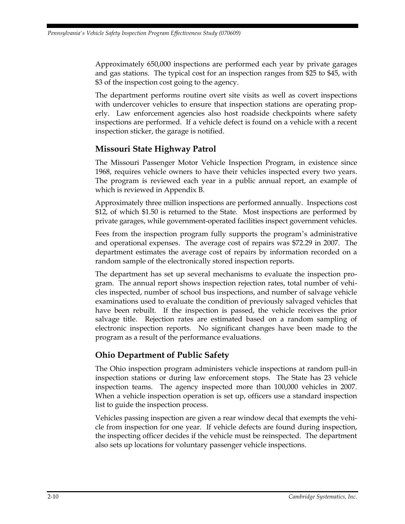Approximately 650,000 inspections are performed each year by private garages and gas stations. The typical cost for an inspection ranges from \$25 to \$45, with \$3 of the inspection cost going to the agency.

The department performs routine overt site visits as well as covert inspections with undercover vehicles to ensure that inspection stations are operating properly. Law enforcement agencies also host roadside checkpoints where safety inspections are performed. If a vehicle defect is found on a vehicle with a recent inspection sticker, the garage is notified.

#### **Missouri State Highway Patrol**

The Missouri Passenger Motor Vehicle Inspection Program, in existence since 1968, requires vehicle owners to have their vehicles inspected every two years. The program is reviewed each year in a public annual report, an example of which is reviewed in Appendix B.

Approximately three million inspections are performed annually. Inspections cost \$12, of which \$1.50 is returned to the State. Most inspections are performed by private garages, while government-operated facilities inspect government vehicles.

Fees from the inspection program fully supports the program's administrative and operational expenses. The average cost of repairs was \$72.29 in 2007. The department estimates the average cost of repairs by information recorded on a random sample of the electronically stored inspection reports.

The department has set up several mechanisms to evaluate the inspection program. The annual report shows inspection rejection rates, total number of vehicles inspected, number of school bus inspections, and number of salvage vehicle examinations used to evaluate the condition of previously salvaged vehicles that have been rebuilt. If the inspection is passed, the vehicle receives the prior salvage title. Rejection rates are estimated based on a random sampling of electronic inspection reports. No significant changes have been made to the program as a result of the performance evaluations.

#### **Ohio Department of Public Safety**

The Ohio inspection program administers vehicle inspections at random pull-in inspection stations or during law enforcement stops. The State has 23 vehicle inspection teams. The agency inspected more than 100,000 vehicles in 2007. When a vehicle inspection operation is set up, officers use a standard inspection list to guide the inspection process.

Vehicles passing inspection are given a rear window decal that exempts the vehicle from inspection for one year. If vehicle defects are found during inspection, the inspecting officer decides if the vehicle must be reinspected. The department also sets up locations for voluntary passenger vehicle inspections.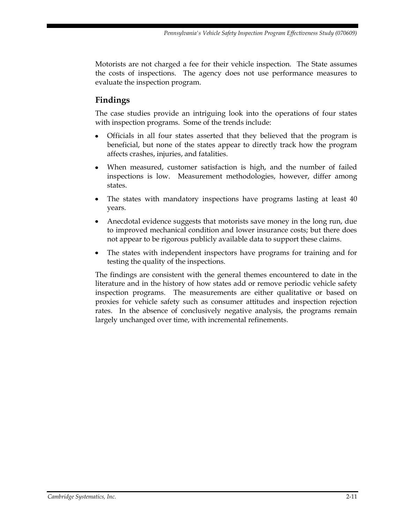Motorists are not charged a fee for their vehicle inspection. The State assumes the costs of inspections. The agency does not use performance measures to evaluate the inspection program.

#### **Findings**

The case studies provide an intriguing look into the operations of four states with inspection programs. Some of the trends include:

- Officials in all four states asserted that they believed that the program is beneficial, but none of the states appear to directly track how the program affects crashes, injuries, and fatalities.
- When measured, customer satisfaction is high, and the number of failed inspections is low. Measurement methodologies, however, differ among states.
- The states with mandatory inspections have programs lasting at least 40 years.
- Anecdotal evidence suggests that motorists save money in the long run, due to improved mechanical condition and lower insurance costs; but there does not appear to be rigorous publicly available data to support these claims.
- The states with independent inspectors have programs for training and for testing the quality of the inspections.

The findings are consistent with the general themes encountered to date in the literature and in the history of how states add or remove periodic vehicle safety inspection programs. The measurements are either qualitative or based on proxies for vehicle safety such as consumer attitudes and inspection rejection rates. In the absence of conclusively negative analysis, the programs remain largely unchanged over time, with incremental refinements.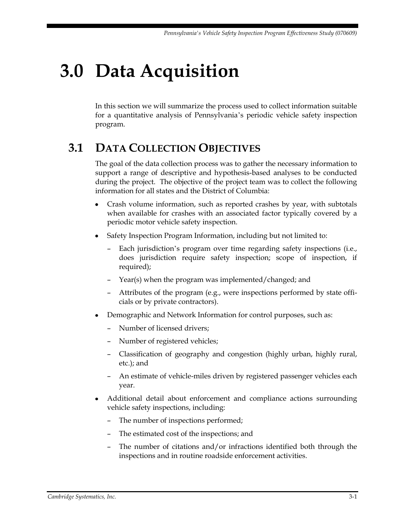# <span id="page-30-0"></span>**3.0 Data Acquisition**

In this section we will summarize the process used to collect information suitable for a quantitative analysis of Pennsylvania's periodic vehicle safety inspection program.

### <span id="page-30-1"></span>**3.1 DATA COLLECTION OBJECTIVES**

The goal of the data collection process was to gather the necessary information to support a range of descriptive and hypothesis-based analyses to be conducted during the project. The objective of the project team was to collect the following information for all states and the District of Columbia:

- Crash volume information, such as reported crashes by year, with subtotals when available for crashes with an associated factor typically covered by a periodic motor vehicle safety inspection.
- Safety Inspection Program Information, including but not limited to:
	- Each jurisdiction's program over time regarding safety inspections (i.e., does jurisdiction require safety inspection; scope of inspection, if required);
	- Year(s) when the program was implemented/changed; and
	- Attributes of the program (e.g., were inspections performed by state officials or by private contractors).
- Demographic and Network Information for control purposes, such as:
	- Number of licensed drivers;
	- Number of registered vehicles;
	- Classification of geography and congestion (highly urban, highly rural, etc.); and
	- An estimate of vehicle-miles driven by registered passenger vehicles each year.
- Additional detail about enforcement and compliance actions surrounding vehicle safety inspections, including:
	- The number of inspections performed;
	- The estimated cost of the inspections; and
	- The number of citations and/or infractions identified both through the inspections and in routine roadside enforcement activities.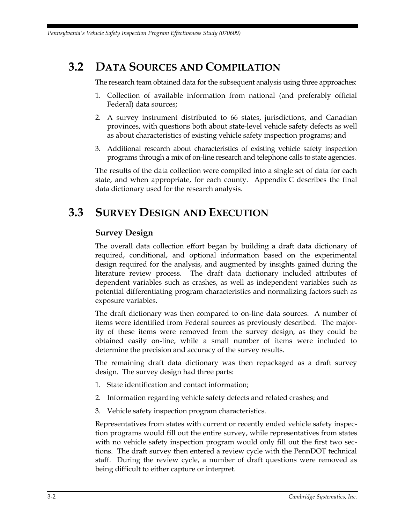### <span id="page-31-0"></span>**3.2 DATA SOURCES AND COMPILATION**

The research team obtained data for the subsequent analysis using three approaches:

- 1. Collection of available information from national (and preferably official Federal) data sources;
- 2. A survey instrument distributed to 66 states, jurisdictions, and Canadian provinces, with questions both about state-level vehicle safety defects as well as about characteristics of existing vehicle safety inspection programs; and
- 3. Additional research about characteristics of existing vehicle safety inspection programs through a mix of on-line research and telephone calls to state agencies.

The results of the data collection were compiled into a single set of data for each state, and when appropriate, for each county. Appendix C describes the final data dictionary used for the research analysis.

### <span id="page-31-1"></span>**3.3 SURVEY DESIGN AND EXECUTION**

#### **Survey Design**

The overall data collection effort began by building a draft data dictionary of required, conditional, and optional information based on the experimental design required for the analysis, and augmented by insights gained during the literature review process. The draft data dictionary included attributes of dependent variables such as crashes, as well as independent variables such as potential differentiating program characteristics and normalizing factors such as exposure variables.

The draft dictionary was then compared to on-line data sources. A number of items were identified from Federal sources as previously described. The majority of these items were removed from the survey design, as they could be obtained easily on-line, while a small number of items were included to determine the precision and accuracy of the survey results.

The remaining draft data dictionary was then repackaged as a draft survey design. The survey design had three parts:

- 1. State identification and contact information;
- 2. Information regarding vehicle safety defects and related crashes; and
- 3. Vehicle safety inspection program characteristics.

Representatives from states with current or recently ended vehicle safety inspection programs would fill out the entire survey, while representatives from states with no vehicle safety inspection program would only fill out the first two sections. The draft survey then entered a review cycle with the PennDOT technical staff. During the review cycle, a number of draft questions were removed as being difficult to either capture or interpret.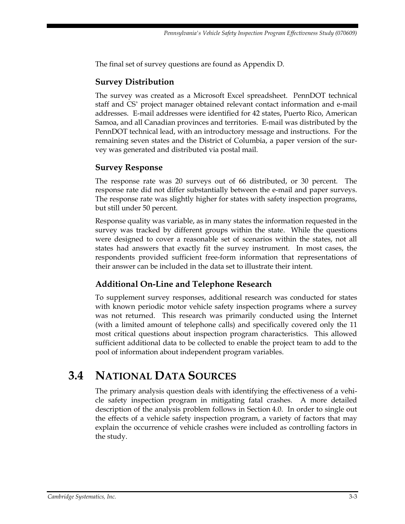The final set of survey questions are found as Appendix D.

#### **Survey Distribution**

The survey was created as a Microsoft Excel spreadsheet. PennDOT technical staff and CS' project manager obtained relevant contact information and e-mail addresses. E-mail addresses were identified for 42 states, Puerto Rico, American Samoa, and all Canadian provinces and territories. E-mail was distributed by the PennDOT technical lead, with an introductory message and instructions. For the remaining seven states and the District of Columbia, a paper version of the survey was generated and distributed via postal mail.

#### **Survey Response**

The response rate was 20 surveys out of 66 distributed, or 30 percent. The response rate did not differ substantially between the e-mail and paper surveys. The response rate was slightly higher for states with safety inspection programs, but still under 50 percent.

Response quality was variable, as in many states the information requested in the survey was tracked by different groups within the state. While the questions were designed to cover a reasonable set of scenarios within the states, not all states had answers that exactly fit the survey instrument. In most cases, the respondents provided sufficient free-form information that representations of their answer can be included in the data set to illustrate their intent.

#### **Additional On-Line and Telephone Research**

To supplement survey responses, additional research was conducted for states with known periodic motor vehicle safety inspection programs where a survey was not returned. This research was primarily conducted using the Internet (with a limited amount of telephone calls) and specifically covered only the 11 most critical questions about inspection program characteristics. This allowed sufficient additional data to be collected to enable the project team to add to the pool of information about independent program variables.

### <span id="page-32-0"></span>**3.4 NATIONAL DATA SOURCES**

The primary analysis question deals with identifying the effectiveness of a vehicle safety inspection program in mitigating fatal crashes. A more detailed description of the analysis problem follows in Section 4.0. In order to single out the effects of a vehicle safety inspection program, a variety of factors that may explain the occurrence of vehicle crashes were included as controlling factors in the study.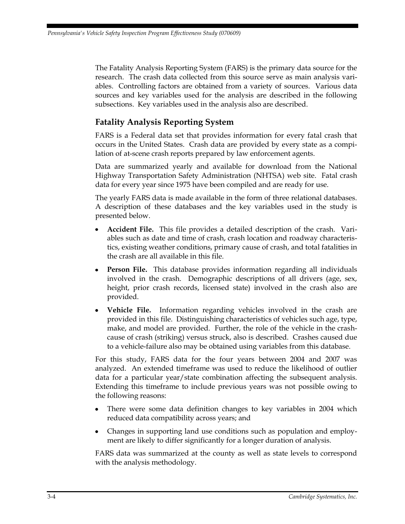The Fatality Analysis Reporting System (FARS) is the primary data source for the research. The crash data collected from this source serve as main analysis variables. Controlling factors are obtained from a variety of sources. Various data sources and key variables used for the analysis are described in the following subsections. Key variables used in the analysis also are described.

#### **Fatality Analysis Reporting System**

FARS is a Federal data set that provides information for every fatal crash that occurs in the United States. Crash data are provided by every state as a compilation of at-scene crash reports prepared by law enforcement agents.

Data are summarized yearly and available for download from the National Highway Transportation Safety Administration (NHTSA) web site. Fatal crash data for every year since 1975 have been compiled and are ready for use.

The yearly FARS data is made available in the form of three relational databases. A description of these databases and the key variables used in the study is presented below.

- **Accident File.** This file provides a detailed description of the crash. Variables such as date and time of crash, crash location and roadway characteristics, existing weather conditions, primary cause of crash, and total fatalities in the crash are all available in this file.
- **Person File.** This database provides information regarding all individuals involved in the crash. Demographic descriptions of all drivers (age, sex, height, prior crash records, licensed state) involved in the crash also are provided.
- **Vehicle File.** Information regarding vehicles involved in the crash are provided in this file. Distinguishing characteristics of vehicles such age, type, make, and model are provided. Further, the role of the vehicle in the crashcause of crash (striking) versus struck, also is described. Crashes caused due to a vehicle-failure also may be obtained using variables from this database.

For this study, FARS data for the four years between 2004 and 2007 was analyzed. An extended timeframe was used to reduce the likelihood of outlier data for a particular year/state combination affecting the subsequent analysis. Extending this timeframe to include previous years was not possible owing to the following reasons:

- There were some data definition changes to key variables in 2004 which  $\bullet$ reduced data compatibility across years; and
- Changes in supporting land use conditions such as population and employment are likely to differ significantly for a longer duration of analysis.

FARS data was summarized at the county as well as state levels to correspond with the analysis methodology.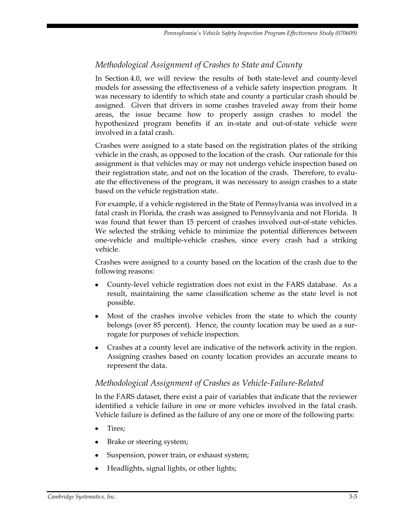#### *Methodological Assignment of Crashes to State and County*

In Section 4.0, we will review the results of both state-level and county-level models for assessing the effectiveness of a vehicle safety inspection program. It was necessary to identify to which state and county a particular crash should be assigned. Given that drivers in some crashes traveled away from their home areas, the issue became how to properly assign crashes to model the hypothesized program benefits if an in-state and out-of-state vehicle were involved in a fatal crash.

Crashes were assigned to a state based on the registration plates of the striking vehicle in the crash, as opposed to the location of the crash. Our rationale for this assignment is that vehicles may or may not undergo vehicle inspection based on their registration state, and not on the location of the crash. Therefore, to evaluate the effectiveness of the program, it was necessary to assign crashes to a state based on the vehicle registration state.

For example, if a vehicle registered in the State of Pennsylvania was involved in a fatal crash in Florida, the crash was assigned to Pennsylvania and not Florida. It was found that fewer than 15 percent of crashes involved out-of-state vehicles. We selected the striking vehicle to minimize the potential differences between one-vehicle and multiple-vehicle crashes, since every crash had a striking vehicle.

Crashes were assigned to a county based on the location of the crash due to the following reasons:

- County-level vehicle registration does not exist in the FARS database. As a result, maintaining the same classification scheme as the state level is not possible.
- Most of the crashes involve vehicles from the state to which the county belongs (over 85 percent). Hence, the county location may be used as a surrogate for purposes of vehicle inspection.
- Crashes at a county level are indicative of the network activity in the region. Assigning crashes based on county location provides an accurate means to represent the data.

#### *Methodological Assignment of Crashes as Vehicle-Failure-Related*

In the FARS dataset, there exist a pair of variables that indicate that the reviewer identified a vehicle failure in one or more vehicles involved in the fatal crash. Vehicle failure is defined as the failure of any one or more of the following parts:

- Tires;
- Brake or steering system;
- Suspension, power train, or exhaust system;
- Headlights, signal lights, or other lights;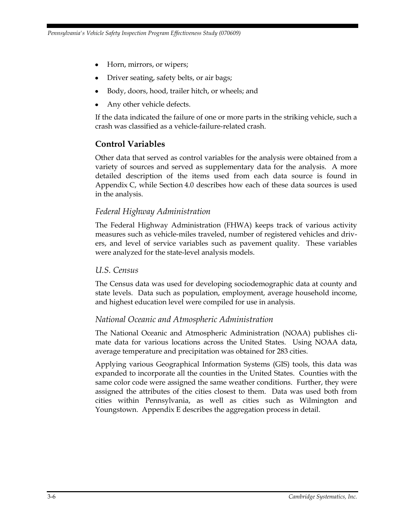- Horn, mirrors, or wipers;
- Driver seating, safety belts, or air bags;
- Body, doors, hood, trailer hitch, or wheels; and
- Any other vehicle defects.

If the data indicated the failure of one or more parts in the striking vehicle, such a crash was classified as a vehicle-failure-related crash.

#### **Control Variables**

Other data that served as control variables for the analysis were obtained from a variety of sources and served as supplementary data for the analysis. A more detailed description of the items used from each data source is found in Appendix C, while Section 4.0 describes how each of these data sources is used in the analysis.

#### *Federal Highway Administration*

The Federal Highway Administration (FHWA) keeps track of various activity measures such as vehicle-miles traveled, number of registered vehicles and drivers, and level of service variables such as pavement quality. These variables were analyzed for the state-level analysis models.

#### *U.S. Census*

The Census data was used for developing sociodemographic data at county and state levels. Data such as population, employment, average household income, and highest education level were compiled for use in analysis.

#### *National Oceanic and Atmospheric Administration*

The National Oceanic and Atmospheric Administration (NOAA) publishes climate data for various locations across the United States. Using NOAA data, average temperature and precipitation was obtained for 283 cities.

Applying various Geographical Information Systems (GIS) tools, this data was expanded to incorporate all the counties in the United States. Counties with the same color code were assigned the same weather conditions. Further, they were assigned the attributes of the cities closest to them. Data was used both from cities within Pennsylvania, as well as cities such as Wilmington and Youngstown. Appendix E describes the aggregation process in detail.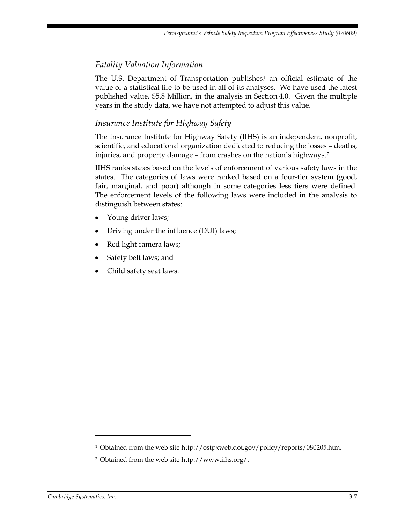# *Fatality Valuation Information*

The U.S. Department of Transportation publishes<sup>1</sup> an official estimate of the value of a statistical life to be used in all of its analyses. We have used the latest published value, \$5.8 Million, in the analysis in Section 4.0. Given the multiple years in the study data, we have not attempted to adjust this value.

# *Insurance Institute for Highway Safety*

The Insurance Institute for Highway Safety (IIHS) is an independent, nonprofit, scientific, and educational organization dedicated to reducing the losses – deaths, injuries, and property damage – from crashes on the nation's highways.<sup>2</sup>

IIHS ranks states based on the levels of enforcement of various safety laws in the states. The categories of laws were ranked based on a four-tier system (good, fair, marginal, and poor) although in some categories less tiers were defined. The enforcement levels of the following laws were included in the analysis to distinguish between states:

- Young driver laws;
- Driving under the influence (DUI) laws;
- Red light camera laws;
- Safety belt laws; and
- Child safety seat laws.

 $\overline{a}$ 

<sup>&</sup>lt;sup>1</sup> Obtained from the web site http://ostpxweb.dot.gov/policy/reports/080205.htm.

<sup>2</sup> Obtained from the web site http://www.iihs.org/.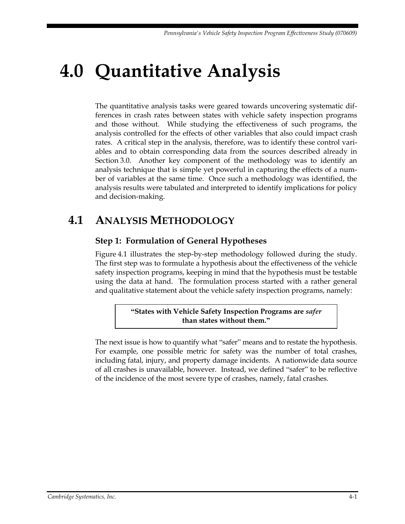# **4.0 Quantitative Analysis**

The quantitative analysis tasks were geared towards uncovering systematic differences in crash rates between states with vehicle safety inspection programs and those without. While studying the effectiveness of such programs, the analysis controlled for the effects of other variables that also could impact crash rates. A critical step in the analysis, therefore, was to identify these control variables and to obtain corresponding data from the sources described already in Section 3.0. Another key component of the methodology was to identify an analysis technique that is simple yet powerful in capturing the effects of a number of variables at the same time. Once such a methodology was identified, the analysis results were tabulated and interpreted to identify implications for policy and decision-making.

# **4.1 ANALYSIS METHODOLOGY**

# **Step 1: Formulation of General Hypotheses**

Figure 4.1 illustrates the step-by-step methodology followed during the study. The first step was to formulate a hypothesis about the effectiveness of the vehicle safety inspection programs, keeping in mind that the hypothesis must be testable using the data at hand. The formulation process started with a rather general and qualitative statement about the vehicle safety inspection programs, namely:

> **"States with Vehicle Safety Inspection Programs are** *safer* **than states without them."**

The next issue is how to quantify what "safer" means and to restate the hypothesis. For example, one possible metric for safety was the number of total crashes, including fatal, injury, and property damage incidents. A nationwide data source of all crashes is unavailable, however. Instead, we defined "safer" to be reflective of the incidence of the most severe type of crashes, namely, fatal crashes.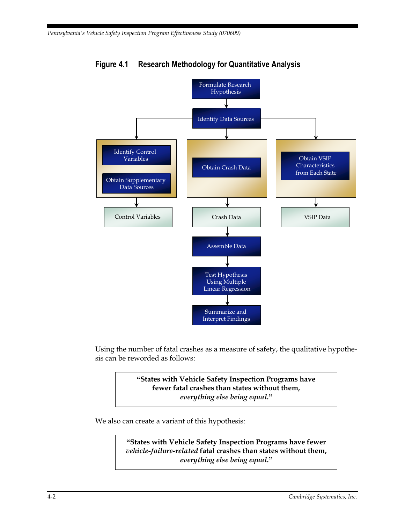

**Figure 4.1 Research Methodology for Quantitative Analysis Figure 4.1 Research Methodology for Quantitative Analysis**

Using the number of fatal crashes as a measure of safety, the qualitative hypothesis can be reworded as follows:

> **"States with Vehicle Safety Inspection Programs have fewer fatal crashes than states without them,**  *everything else being equal***."**

We also can create a variant of this hypothesis:

**"States with Vehicle Safety Inspection Programs have fewer**  *vehicle-failure-related* **fatal crashes than states without them,**  *everything else being equal***."**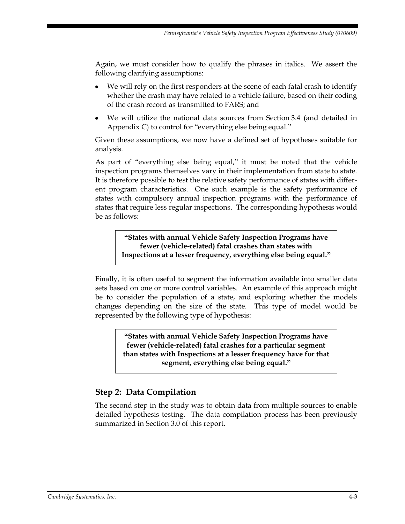Again, we must consider how to qualify the phrases in italics. We assert the following clarifying assumptions:

- We will rely on the first responders at the scene of each fatal crash to identify  $\bullet$ whether the crash may have related to a vehicle failure, based on their coding of the crash record as transmitted to FARS; and
- We will utilize the national data sources from Section 3.4 (and detailed in Appendix C) to control for "everything else being equal."

Given these assumptions, we now have a defined set of hypotheses suitable for analysis.

As part of "everything else being equal," it must be noted that the vehicle inspection programs themselves vary in their implementation from state to state. It is therefore possible to test the relative safety performance of states with different program characteristics. One such example is the safety performance of states with compulsory annual inspection programs with the performance of states that require less regular inspections. The corresponding hypothesis would be as follows:

**"States with annual Vehicle Safety Inspection Programs have fewer (vehicle-related) fatal crashes than states with Inspections at a lesser frequency, everything else being equal."**

Finally, it is often useful to segment the information available into smaller data sets based on one or more control variables. An example of this approach might be to consider the population of a state, and exploring whether the models changes depending on the size of the state. This type of model would be represented by the following type of hypothesis:

> **"States with annual Vehicle Safety Inspection Programs have fewer (vehicle-related) fatal crashes for a particular segment than states with Inspections at a lesser frequency have for that segment, everything else being equal."**

# **Step 2: Data Compilation**

The second step in the study was to obtain data from multiple sources to enable detailed hypothesis testing. The data compilation process has been previously summarized in Section 3.0 of this report.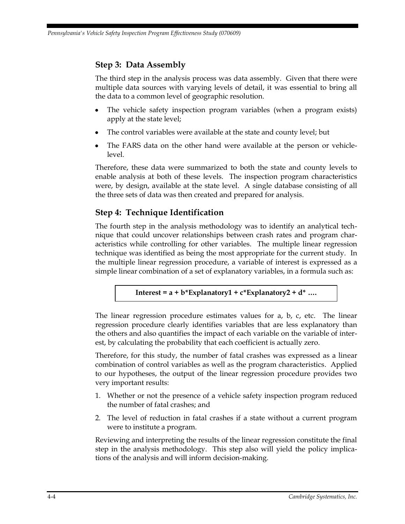## **Step 3: Data Assembly**

The third step in the analysis process was data assembly. Given that there were multiple data sources with varying levels of detail, it was essential to bring all the data to a common level of geographic resolution.

- The vehicle safety inspection program variables (when a program exists) apply at the state level;
- The control variables were available at the state and county level; but
- The FARS data on the other hand were available at the person or vehiclelevel.

Therefore, these data were summarized to both the state and county levels to enable analysis at both of these levels. The inspection program characteristics were, by design, available at the state level. A single database consisting of all the three sets of data was then created and prepared for analysis.

# **Step 4: Technique Identification**

The fourth step in the analysis methodology was to identify an analytical technique that could uncover relationships between crash rates and program characteristics while controlling for other variables. The multiple linear regression technique was identified as being the most appropriate for the current study. In the multiple linear regression procedure, a variable of interest is expressed as a simple linear combination of a set of explanatory variables, in a formula such as:

#### **Interest = a + b\*Explanatory1 + c\*Explanatory2 + d\* ….**

The linear regression procedure estimates values for a, b, c, etc. The linear regression procedure clearly identifies variables that are less explanatory than the others and also quantifies the impact of each variable on the variable of interest, by calculating the probability that each coefficient is actually zero.

Therefore, for this study, the number of fatal crashes was expressed as a linear combination of control variables as well as the program characteristics. Applied to our hypotheses, the output of the linear regression procedure provides two very important results:

- 1. Whether or not the presence of a vehicle safety inspection program reduced the number of fatal crashes; and
- 2. The level of reduction in fatal crashes if a state without a current program were to institute a program.

Reviewing and interpreting the results of the linear regression constitute the final step in the analysis methodology. This step also will yield the policy implications of the analysis and will inform decision-making.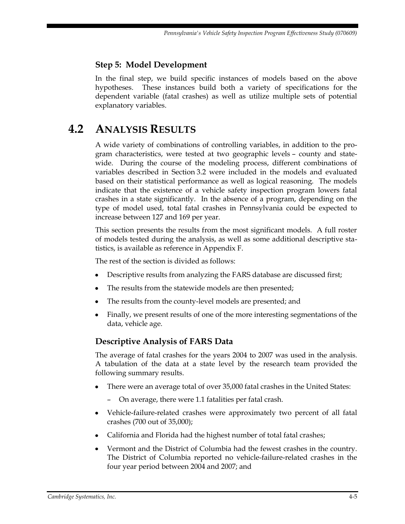## **Step 5: Model Development**

In the final step, we build specific instances of models based on the above hypotheses. These instances build both a variety of specifications for the dependent variable (fatal crashes) as well as utilize multiple sets of potential explanatory variables.

# **4.2 ANALYSIS RESULTS**

A wide variety of combinations of controlling variables, in addition to the program characteristics, were tested at two geographic levels – county and statewide. During the course of the modeling process, different combinations of variables described in Section 3.2 were included in the models and evaluated based on their statistical performance as well as logical reasoning. The models indicate that the existence of a vehicle safety inspection program lowers fatal crashes in a state significantly. In the absence of a program, depending on the type of model used, total fatal crashes in Pennsylvania could be expected to increase between 127 and 169 per year.

This section presents the results from the most significant models. A full roster of models tested during the analysis, as well as some additional descriptive statistics, is available as reference in Appendix F.

The rest of the section is divided as follows:

- Descriptive results from analyzing the FARS database are discussed first;
- The results from the statewide models are then presented;
- The results from the county-level models are presented; and
- Finally, we present results of one of the more interesting segmentations of the data, vehicle age.

## **Descriptive Analysis of FARS Data**

The average of fatal crashes for the years 2004 to 2007 was used in the analysis. A tabulation of the data at a state level by the research team provided the following summary results.

- There were an average total of over 35,000 fatal crashes in the United States:
	- On average, there were 1.1 fatalities per fatal crash.
- Vehicle-failure-related crashes were approximately two percent of all fatal crashes (700 out of 35,000);
- California and Florida had the highest number of total fatal crashes;  $\bullet$
- Vermont and the District of Columbia had the fewest crashes in the country. The District of Columbia reported no vehicle-failure-related crashes in the four year period between 2004 and 2007; and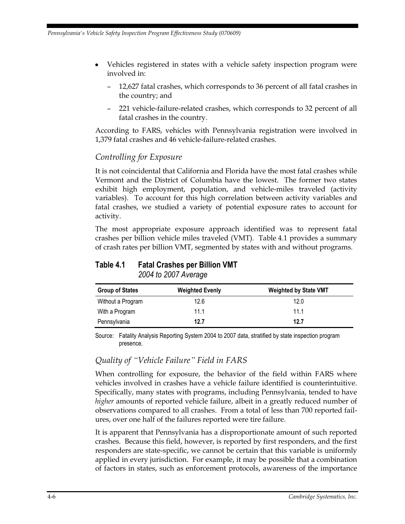- Vehicles registered in states with a vehicle safety inspection program were involved in:
	- 12,627 fatal crashes, which corresponds to 36 percent of all fatal crashes in the country; and
	- 221 vehicle-failure-related crashes, which corresponds to 32 percent of all fatal crashes in the country.

According to FARS, vehicles with Pennsylvania registration were involved in 1,379 fatal crashes and 46 vehicle-failure-related crashes.

#### *Controlling for Exposure*

It is not coincidental that California and Florida have the most fatal crashes while Vermont and the District of Columbia have the lowest. The former two states exhibit high employment, population, and vehicle-miles traveled (activity variables). To account for this high correlation between activity variables and fatal crashes, we studied a variety of potential exposure rates to account for activity.

The most appropriate exposure approach identified was to represent fatal crashes per billion vehicle miles traveled (VMT). Table 4.1 provides a summary of crash rates per billion VMT, segmented by states with and without programs.

# **Table 4.1 Fatal Crashes per Billion VMT**

*2004 to 2007 Average*

| <b>Group of States</b> | <b>Weighted Evenly</b> | <b>Weighted by State VMT</b> |
|------------------------|------------------------|------------------------------|
| Without a Program      | 12.6                   | 12.0                         |
| With a Program         | 11.1                   | 11 1                         |
| Pennsylvania           | 12.7                   | 12.7                         |

Source: Fatality Analysis Reporting System 2004 to 2007 data, stratified by state inspection program presence.

## *Quality of "Vehicle Failure" Field in FARS*

When controlling for exposure, the behavior of the field within FARS where vehicles involved in crashes have a vehicle failure identified is counterintuitive. Specifically, many states with programs, including Pennsylvania, tended to have *higher* amounts of reported vehicle failure, albeit in a greatly reduced number of observations compared to all crashes. From a total of less than 700 reported failures, over one half of the failures reported were tire failure.

It is apparent that Pennsylvania has a disproportionate amount of such reported crashes. Because this field, however, is reported by first responders, and the first responders are state-specific, we cannot be certain that this variable is uniformly applied in every jurisdiction. For example, it may be possible that a combination of factors in states, such as enforcement protocols, awareness of the importance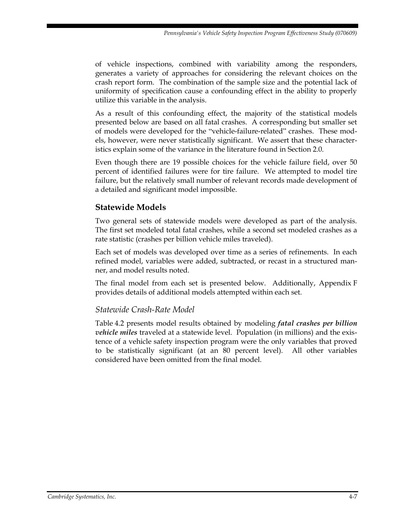of vehicle inspections, combined with variability among the responders, generates a variety of approaches for considering the relevant choices on the crash report form. The combination of the sample size and the potential lack of uniformity of specification cause a confounding effect in the ability to properly utilize this variable in the analysis.

As a result of this confounding effect, the majority of the statistical models presented below are based on all fatal crashes. A corresponding but smaller set of models were developed for the "vehicle-failure-related" crashes. These models, however, were never statistically significant. We assert that these characteristics explain some of the variance in the literature found in Section 2.0.

Even though there are 19 possible choices for the vehicle failure field, over 50 percent of identified failures were for tire failure. We attempted to model tire failure, but the relatively small number of relevant records made development of a detailed and significant model impossible.

## **Statewide Models**

Two general sets of statewide models were developed as part of the analysis. The first set modeled total fatal crashes, while a second set modeled crashes as a rate statistic (crashes per billion vehicle miles traveled).

Each set of models was developed over time as a series of refinements. In each refined model, variables were added, subtracted, or recast in a structured manner, and model results noted.

The final model from each set is presented below. Additionally, Appendix F provides details of additional models attempted within each set.

## *Statewide Crash-Rate Model*

Table 4.2 presents model results obtained by modeling *fatal crashes per billion vehicle miles* traveled at a statewide level. Population (in millions) and the existence of a vehicle safety inspection program were the only variables that proved to be statistically significant (at an 80 percent level). All other variables considered have been omitted from the final model.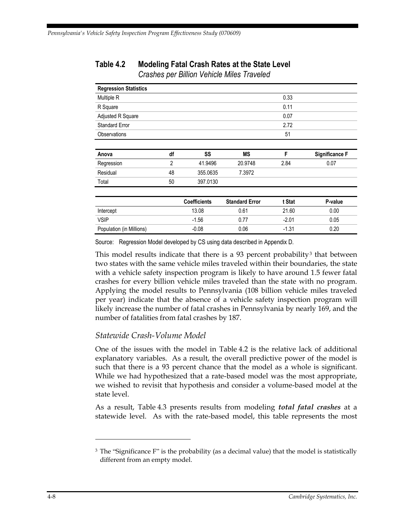| <b>Regression Statistics</b> |                |                     |                       |         |                       |
|------------------------------|----------------|---------------------|-----------------------|---------|-----------------------|
| Multiple R                   |                |                     |                       | 0.33    |                       |
| R Square                     |                |                     |                       | 0.11    |                       |
| Adjusted R Square            |                |                     |                       | 0.07    |                       |
| <b>Standard Error</b>        |                |                     |                       | 2.72    |                       |
| <b>Observations</b>          |                |                     |                       | 51      |                       |
|                              |                |                     |                       |         |                       |
| Anova                        | df             | SS                  | <b>MS</b>             | F       | <b>Significance F</b> |
| Regression                   | $\overline{2}$ | 41.9496             | 20.9748               | 2.84    | 0.07                  |
| Residual                     | 48             | 355.0635            | 7.3972                |         |                       |
| Total                        | 50             | 397.0130            |                       |         |                       |
|                              |                | <b>Coefficients</b> | <b>Standard Error</b> | t Stat  | P-value               |
| Intercept                    |                | 13.08               | 0.61                  | 21.60   | 0.00                  |
| <b>VSIP</b>                  |                | $-1.56$             | 0.77                  | $-2.01$ | 0.05                  |
| Population (in Millions)     |                | $-0.08$             | 0.06                  | $-1.31$ | 0.20                  |

# **Table 4.2 Modeling Fatal Crash Rates at the State Level**

*Crashes per Billion Vehicle Miles Traveled*

Source: Regression Model developed by CS using data described in Appendix D.

This model results indicate that there is a 93 percent probability<sup>3</sup> that between two states with the same vehicle miles traveled within their boundaries, the state with a vehicle safety inspection program is likely to have around 1.5 fewer fatal crashes for every billion vehicle miles traveled than the state with no program. Applying the model results to Pennsylvania (108 billion vehicle miles traveled per year) indicate that the absence of a vehicle safety inspection program will likely increase the number of fatal crashes in Pennsylvania by nearly 169, and the number of fatalities from fatal crashes by 187.

#### *Statewide Crash-Volume Model*

One of the issues with the model in Table 4.2 is the relative lack of additional explanatory variables. As a result, the overall predictive power of the model is such that there is a 93 percent chance that the model as a whole is significant. While we had hypothesized that a rate-based model was the most appropriate, we wished to revisit that hypothesis and consider a volume-based model at the state level.

As a result, Table 4.3 presents results from modeling *total fatal crashes* at a statewide level. As with the rate-based model, this table represents the most

 $\overline{a}$ 

<sup>&</sup>lt;sup>3</sup> The "Significance F" is the probability (as a decimal value) that the model is statistically different from an empty model.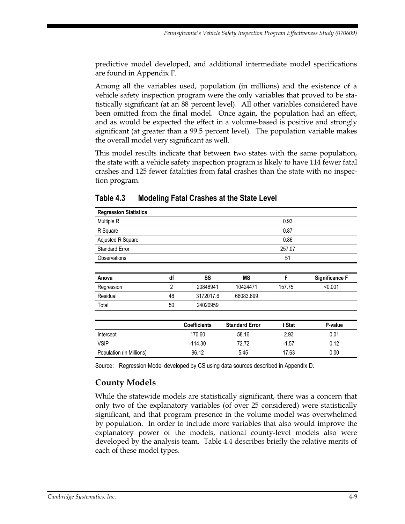predictive model developed, and additional intermediate model specifications are found in Appendix F.

Among all the variables used, population (in millions) and the existence of a vehicle safety inspection program were the only variables that proved to be statistically significant (at an 88 percent level). All other variables considered have been omitted from the final model. Once again, the population had an effect, and as would be expected the effect in a volume-based is positive and strongly significant (at greater than a 99.5 percent level). The population variable makes the overall model very significant as well.

This model results indicate that between two states with the same population, the state with a vehicle safety inspection program is likely to have 114 fewer fatal crashes and 125 fewer fatalities from fatal crashes than the state with no inspection program.

| <b>Regression Statistics</b> |                |                     |                       |         |                       |
|------------------------------|----------------|---------------------|-----------------------|---------|-----------------------|
| Multiple R                   |                |                     |                       | 0.93    |                       |
| R Square                     |                |                     |                       | 0.87    |                       |
| Adjusted R Square            |                |                     |                       | 0.86    |                       |
| <b>Standard Error</b>        |                |                     |                       | 257.07  |                       |
| Observations                 |                |                     |                       | 51      |                       |
|                              |                |                     |                       |         |                       |
| Anova                        | df             | SS                  | ΜS                    | F       | <b>Significance F</b> |
| Regression                   | $\overline{2}$ | 20848941            | 10424471              | 157.75  | < 0.001               |
| Residual                     | 48             | 3172017.6           | 66083.699             |         |                       |
| Total                        | 50             | 24020959            |                       |         |                       |
|                              |                |                     |                       |         |                       |
|                              |                | <b>Coefficients</b> | <b>Standard Error</b> | t Stat  | P-value               |
| Intercept                    |                | 170.60              | 58.16                 | 2.93    | 0.01                  |
| <b>VSIP</b>                  |                | $-114.30$           | 72.72                 | $-1.57$ | 0.12                  |
| Population (in Millions)     |                | 96.12               | 5.45                  | 17.63   | 0.00                  |

# **Table 4.3 Modeling Fatal Crashes at the State Level**

Source: Regression Model developed by CS using data sources described in Appendix D.

## **County Models**

While the statewide models are statistically significant, there was a concern that only two of the explanatory variables (of over 25 considered) were statistically significant, and that program presence in the volume model was overwhelmed by population. In order to include more variables that also would improve the explanatory power of the models, national county-level models also were developed by the analysis team. Table 4.4 describes briefly the relative merits of each of these model types.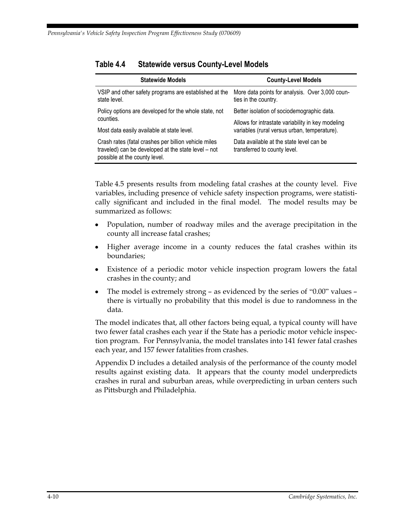| <b>Statewide Models</b>                                                                                                                      | <b>County-Level Models</b>                                               |
|----------------------------------------------------------------------------------------------------------------------------------------------|--------------------------------------------------------------------------|
| VSIP and other safety programs are established at the<br>state level.                                                                        | More data points for analysis. Over 3,000 coun-<br>ties in the country.  |
| Policy options are developed for the whole state, not                                                                                        | Better isolation of sociodemographic data.                               |
| counties.                                                                                                                                    | Allows for intrastate variability in key modeling                        |
| Most data easily available at state level.                                                                                                   | variables (rural versus urban, temperature).                             |
| Crash rates (fatal crashes per billion vehicle miles<br>traveled) can be developed at the state level – not<br>possible at the county level. | Data available at the state level can be<br>transferred to county level. |

#### **Table 4.4 Statewide versus County-Level Models**

Table 4.5 presents results from modeling fatal crashes at the county level. Five variables, including presence of vehicle safety inspection programs, were statistically significant and included in the final model. The model results may be summarized as follows:

- Population, number of roadway miles and the average precipitation in the county all increase fatal crashes;
- Higher average income in a county reduces the fatal crashes within its boundaries;
- Existence of a periodic motor vehicle inspection program lowers the fatal  $\bullet$ crashes in the county; and
- The model is extremely strong as evidenced by the series of "0.00" values there is virtually no probability that this model is due to randomness in the data.

The model indicates that, all other factors being equal, a typical county will have two fewer fatal crashes each year if the State has a periodic motor vehicle inspection program. For Pennsylvania, the model translates into 141 fewer fatal crashes each year, and 157 fewer fatalities from crashes.

Appendix D includes a detailed analysis of the performance of the county model results against existing data. It appears that the county model underpredicts crashes in rural and suburban areas, while overpredicting in urban centers such as Pittsburgh and Philadelphia.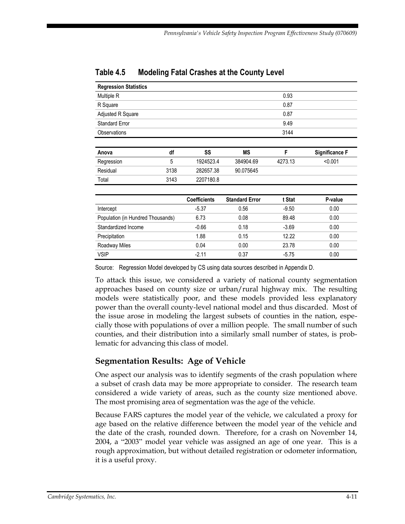| <b>Regression Statistics</b>      |      |                     |                       |         |                       |
|-----------------------------------|------|---------------------|-----------------------|---------|-----------------------|
| Multiple R                        |      |                     |                       | 0.93    |                       |
| R Square                          |      |                     |                       | 0.87    |                       |
| Adjusted R Square                 |      |                     |                       | 0.87    |                       |
| <b>Standard Error</b>             |      |                     |                       | 9.49    |                       |
| <b>Observations</b>               |      |                     |                       | 3144    |                       |
|                                   |      |                     |                       |         |                       |
| Anova                             | df   | SS                  | <b>MS</b>             | F       | <b>Significance F</b> |
| Regression                        | 5    | 1924523.4           | 384904.69             | 4273.13 | < 0.001               |
| Residual                          | 3138 | 282657.38           | 90.075645             |         |                       |
| Total                             | 3143 | 2207180.8           |                       |         |                       |
|                                   |      |                     |                       |         |                       |
|                                   |      | <b>Coefficients</b> | <b>Standard Error</b> | t Stat  | P-value               |
| Intercept                         |      | $-5.37$             | 0.56                  | $-9.50$ | 0.00                  |
| Population (in Hundred Thousands) |      | 6.73                | 0.08                  | 89.48   | 0.00                  |
| Standardized Income               |      | $-0.66$             | 0.18                  | $-3.69$ | 0.00                  |
| Precipitation                     |      | 1.88                | 0.15                  | 12.22   | 0.00                  |
| Roadway Miles                     |      | 0.04                | 0.00                  | 23.78   | 0.00                  |
| <b>VSIP</b>                       |      | $-2.11$             | 0.37                  | $-5.75$ | 0.00                  |

#### **Table 4.5 Modeling Fatal Crashes at the County Level**

Source: Regression Model developed by CS using data sources described in Appendix D.

To attack this issue, we considered a variety of national county segmentation approaches based on county size or urban/rural highway mix. The resulting models were statistically poor, and these models provided less explanatory power than the overall county-level national model and thus discarded. Most of the issue arose in modeling the largest subsets of counties in the nation, especially those with populations of over a million people. The small number of such counties, and their distribution into a similarly small number of states, is problematic for advancing this class of model.

## **Segmentation Results: Age of Vehicle**

One aspect our analysis was to identify segments of the crash population where a subset of crash data may be more appropriate to consider. The research team considered a wide variety of areas, such as the county size mentioned above. The most promising area of segmentation was the age of the vehicle.

Because FARS captures the model year of the vehicle, we calculated a proxy for age based on the relative difference between the model year of the vehicle and the date of the crash, rounded down. Therefore, for a crash on November 14, 2004, a "2003" model year vehicle was assigned an age of one year. This is a rough approximation, but without detailed registration or odometer information, it is a useful proxy.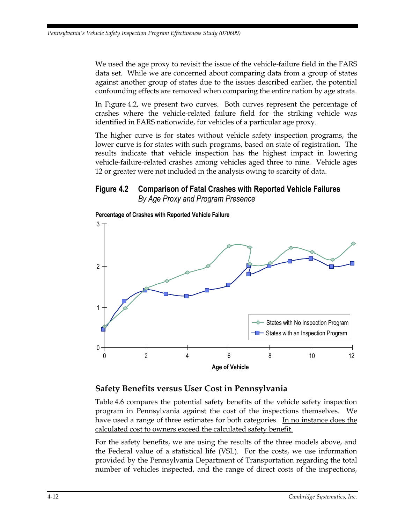We used the age proxy to revisit the issue of the vehicle-failure field in the FARS data set. While we are concerned about comparing data from a group of states against another group of states due to the issues described earlier, the potential confounding effects are removed when comparing the entire nation by age strata.

In Figure 4.2, we present two curves. Both curves represent the percentage of crashes where the vehicle-related failure field for the striking vehicle was identified in FARS nationwide, for vehicles of a particular age proxy.

The higher curve is for states without vehicle safety inspection programs, the lower curve is for states with such programs, based on state of registration. The results indicate that vehicle inspection has the highest impact in lowering vehicle-failure-related crashes among vehicles aged three to nine. Vehicle ages 12 or greater were not included in the analysis owing to scarcity of data.

## **Figure 4.2 Comparison of Fatal Crashes with Reported Vehicle Failures Figure 4.2 Comparison of Fatal Crashes with Reported Vehicle Failures**  *By Age Proxy and Program Presence By Age Proxy and Program Presence*



#### **Percentage of Crashes with Reported Vehicle Failure**

#### **Safety Benefits versus User Cost in Pennsylvania**

Table 4.6 compares the potential safety benefits of the vehicle safety inspection program in Pennsylvania against the cost of the inspections themselves. We have used a range of three estimates for both categories. In no instance does the calculated cost to owners exceed the calculated safety benefit.

For the safety benefits, we are using the results of the three models above, and the Federal value of a statistical life (VSL). For the costs, we use information provided by the Pennsylvania Department of Transportation regarding the total number of vehicles inspected, and the range of direct costs of the inspections,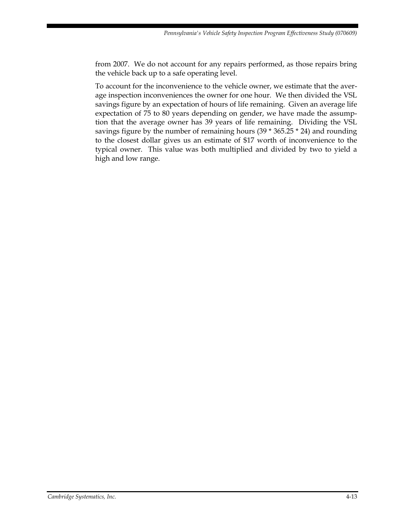from 2007. We do not account for any repairs performed, as those repairs bring the vehicle back up to a safe operating level.

To account for the inconvenience to the vehicle owner, we estimate that the average inspection inconveniences the owner for one hour. We then divided the VSL savings figure by an expectation of hours of life remaining. Given an average life expectation of 75 to 80 years depending on gender, we have made the assumption that the average owner has 39 years of life remaining. Dividing the VSL savings figure by the number of remaining hours (39 \* 365.25 \* 24) and rounding to the closest dollar gives us an estimate of \$17 worth of inconvenience to the typical owner. This value was both multiplied and divided by two to yield a high and low range.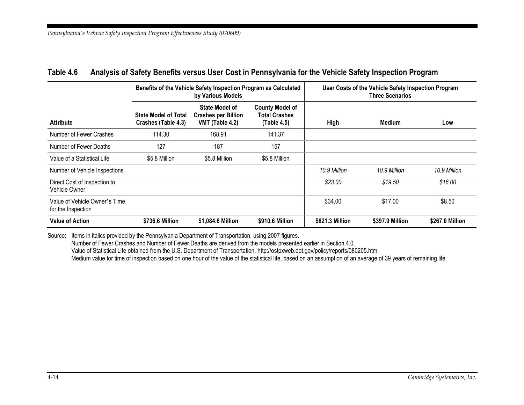| Benefits of the Vehicle Safety Inspection Program as Calculated<br>by Various Models |                                                    |                                                                 | User Costs of the Vehicle Safety Inspection Program<br><b>Three Scenarios</b> |                 |                 |                 |
|--------------------------------------------------------------------------------------|----------------------------------------------------|-----------------------------------------------------------------|-------------------------------------------------------------------------------|-----------------|-----------------|-----------------|
| <b>Attribute</b>                                                                     | <b>State Model of Total</b><br>Crashes (Table 4.3) | State Model of<br><b>Crashes per Billion</b><br>VMT (Table 4.2) | <b>County Model of</b><br><b>Total Crashes</b><br>(Table 4.5)                 | High            | <b>Medium</b>   | Low             |
| Number of Fewer Crashes                                                              | 114.30                                             | 168.91                                                          | 141.37                                                                        |                 |                 |                 |
| Number of Fewer Deaths                                                               | 127                                                | 187                                                             | 157                                                                           |                 |                 |                 |
| Value of a Statistical Life                                                          | \$5.8 Million                                      | \$5.8 Million                                                   | \$5.8 Million                                                                 |                 |                 |                 |
| Number of Vehicle Inspections                                                        |                                                    |                                                                 |                                                                               | 10.9 Million    | 10.9 Million    | 10.9 Million    |
| Direct Cost of Inspection to<br>Vehicle Owner                                        |                                                    |                                                                 |                                                                               | \$23.00         | \$19.50         | \$16.00         |
| Value of Vehicle Owner's Time<br>for the Inspection                                  |                                                    |                                                                 |                                                                               | \$34.00         | \$17.00         | \$8.50          |
| <b>Value of Action</b>                                                               | \$736.6 Million                                    | \$1,084.6 Million                                               | \$910.6 Million                                                               | \$621.3 Million | \$397.9 Million | \$267.0 Million |

#### **Table 4.6 Analysis of Safety Benefits versus User Cost in Pennsylvania for the Vehicle Safety Inspection Program**

Source: Items in italics provided by the Pennsylvania Department of Transportation, using 2007 figures.

Number of Fewer Crashes and Number of Fewer Deaths are derived from the models presented earlier in Section 4.0.

Value of Statistical Life obtained from the U.S. Department of Transportation, http://ostpxweb.dot.gov/policy/reports/080205.htm.

Medium value for time of inspection based on one hour of the value of the statistical life, based on an assumption of an average of 39 years of remaining life.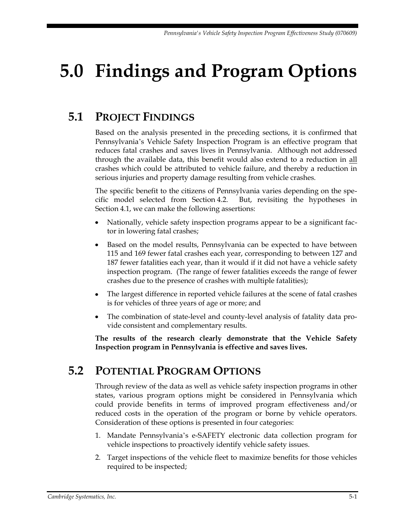# **5.0 Findings and Program Options**

# **5.1 PROJECT FINDINGS**

Based on the analysis presented in the preceding sections, it is confirmed that Pennsylvania's Vehicle Safety Inspection Program is an effective program that reduces fatal crashes and saves lives in Pennsylvania. Although not addressed through the available data, this benefit would also extend to a reduction in all crashes which could be attributed to vehicle failure, and thereby a reduction in serious injuries and property damage resulting from vehicle crashes.

The specific benefit to the citizens of Pennsylvania varies depending on the specific model selected from Section 4.2. But, revisiting the hypotheses in Section 4.1, we can make the following assertions:

- Nationally, vehicle safety inspection programs appear to be a significant factor in lowering fatal crashes;
- Based on the model results, Pennsylvania can be expected to have between  $\bullet$ 115 and 169 fewer fatal crashes each year, corresponding to between 127 and 187 fewer fatalities each year, than it would if it did not have a vehicle safety inspection program. (The range of fewer fatalities exceeds the range of fewer crashes due to the presence of crashes with multiple fatalities);
- The largest difference in reported vehicle failures at the scene of fatal crashes is for vehicles of three years of age or more; and
- The combination of state-level and county-level analysis of fatality data provide consistent and complementary results.

**The results of the research clearly demonstrate that the Vehicle Safety Inspection program in Pennsylvania is effective and saves lives.**

# **5.2 POTENTIAL PROGRAM OPTIONS**

Through review of the data as well as vehicle safety inspection programs in other states, various program options might be considered in Pennsylvania which could provide benefits in terms of improved program effectiveness and/or reduced costs in the operation of the program or borne by vehicle operators. Consideration of these options is presented in four categories:

- 1. Mandate Pennsylvania's e-SAFETY electronic data collection program for vehicle inspections to proactively identify vehicle safety issues.
- 2. Target inspections of the vehicle fleet to maximize benefits for those vehicles required to be inspected;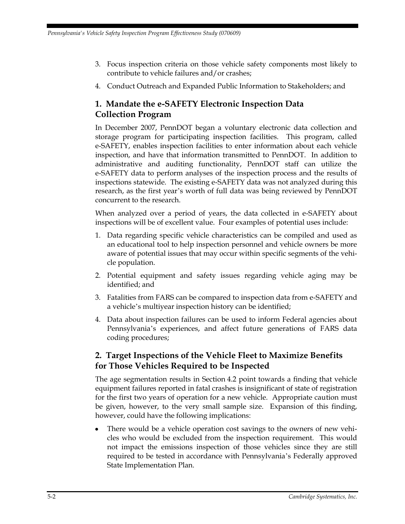- 3. Focus inspection criteria on those vehicle safety components most likely to contribute to vehicle failures and/or crashes;
- 4. Conduct Outreach and Expanded Public Information to Stakeholders; and

# **1. Mandate the e-SAFETY Electronic Inspection Data Collection Program**

In December 2007, PennDOT began a voluntary electronic data collection and storage program for participating inspection facilities. This program, called e-SAFETY, enables inspection facilities to enter information about each vehicle inspection, and have that information transmitted to PennDOT. In addition to administrative and auditing functionality, PennDOT staff can utilize the e-SAFETY data to perform analyses of the inspection process and the results of inspections statewide. The existing e-SAFETY data was not analyzed during this research, as the first year's worth of full data was being reviewed by PennDOT concurrent to the research.

When analyzed over a period of years, the data collected in e-SAFETY about inspections will be of excellent value. Four examples of potential uses include:

- 1. Data regarding specific vehicle characteristics can be compiled and used as an educational tool to help inspection personnel and vehicle owners be more aware of potential issues that may occur within specific segments of the vehicle population.
- 2. Potential equipment and safety issues regarding vehicle aging may be identified; and
- 3. Fatalities from FARS can be compared to inspection data from e-SAFETY and a vehicle's multiyear inspection history can be identified;
- 4. Data about inspection failures can be used to inform Federal agencies about Pennsylvania's experiences, and affect future generations of FARS data coding procedures;

## **2. Target Inspections of the Vehicle Fleet to Maximize Benefits for Those Vehicles Required to be Inspected**

The age segmentation results in Section 4.2 point towards a finding that vehicle equipment failures reported in fatal crashes is insignificant of state of registration for the first two years of operation for a new vehicle. Appropriate caution must be given, however, to the very small sample size. Expansion of this finding, however, could have the following implications:

There would be a vehicle operation cost savings to the owners of new vehicles who would be excluded from the inspection requirement. This would not impact the emissions inspection of those vehicles since they are still required to be tested in accordance with Pennsylvania's Federally approved State Implementation Plan.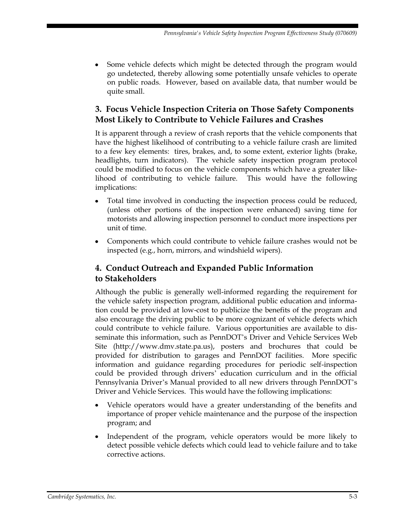Some vehicle defects which might be detected through the program would go undetected, thereby allowing some potentially unsafe vehicles to operate on public roads. However, based on available data, that number would be quite small.

# **3. Focus Vehicle Inspection Criteria on Those Safety Components Most Likely to Contribute to Vehicle Failures and Crashes**

It is apparent through a review of crash reports that the vehicle components that have the highest likelihood of contributing to a vehicle failure crash are limited to a few key elements: tires, brakes, and, to some extent, exterior lights (brake, headlights, turn indicators). The vehicle safety inspection program protocol could be modified to focus on the vehicle components which have a greater likelihood of contributing to vehicle failure. This would have the following implications:

- Total time involved in conducting the inspection process could be reduced, (unless other portions of the inspection were enhanced) saving time for motorists and allowing inspection personnel to conduct more inspections per unit of time.
- Components which could contribute to vehicle failure crashes would not be inspected (e.g., horn, mirrors, and windshield wipers).

# **4. Conduct Outreach and Expanded Public Information to Stakeholders**

Although the public is generally well-informed regarding the requirement for the vehicle safety inspection program, additional public education and information could be provided at low-cost to publicize the benefits of the program and also encourage the driving public to be more cognizant of vehicle defects which could contribute to vehicle failure. Various opportunities are available to disseminate this information, such as PennDOT's Driver and Vehicle Services Web Site (http://www.dmv.state.pa.us), posters and brochures that could be provided for distribution to garages and PennDOT facilities. More specific information and guidance regarding procedures for periodic self-inspection could be provided through drivers' education curriculum and in the official Pennsylvania Driver's Manual provided to all new drivers through PennDOT's Driver and Vehicle Services. This would have the following implications:

- Vehicle operators would have a greater understanding of the benefits and importance of proper vehicle maintenance and the purpose of the inspection program; and
- Independent of the program, vehicle operators would be more likely to detect possible vehicle defects which could lead to vehicle failure and to take corrective actions.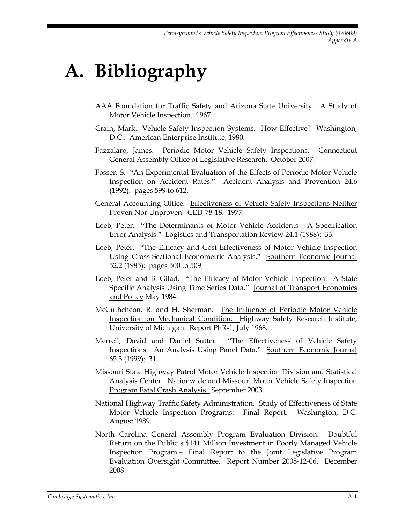# **A. Bibliography**

- AAA Foundation for Traffic Safety and Arizona State University. A Study of Motor Vehicle Inspection. 1967.
- Crain, Mark. Vehicle Safety Inspection Systems. How Effective? Washington, D.C.: American Enterprise Institute, 1980.
- Fazzalaro, James. Periodic Motor Vehicle Safety Inspections. Connecticut General Assembly Office of Legislative Research. October 2007.
- Fosser, S. "An Experimental Evaluation of the Effects of Periodic Motor Vehicle Inspection on Accident Rates." Accident Analysis and Prevention 24.6 (1992): pages 599 to 612.
- General Accounting Office. Effectiveness of Vehicle Safety Inspections Neither Proven Nor Unproven. CED-78-18. 1977.
- Loeb, Peter. "The Determinants of Motor Vehicle Accidents A Specification Error Analysis." Logistics and Transportation Review 24.1 (1988): 33.
- Loeb, Peter. "The Efficacy and Cost-Effectiveness of Motor Vehicle Inspection Using Cross-Sectional Econometric Analysis." Southern Economic Journal 52.2 (1985): pages 500 to 509.
- Loeb, Peter and B. Gilad. "The Efficacy of Motor Vehicle Inspection: A State Specific Analysis Using Time Series Data." Journal of Transport Economics and Policy May 1984.
- McCuthcheon, R. and H. Sherman. The Influence of Periodic Motor Vehicle Inspection on Mechanical Condition. Highway Safety Research Institute, University of Michigan. Report PhR-1, July 1968.
- Merrell, David and Daniel Sutter. "The Effectiveness of Vehicle Safety Inspections: An Analysis Using Panel Data." Southern Economic Journal 65.3 (1999): 31.
- Missouri State Highway Patrol Motor Vehicle Inspection Division and Statistical Analysis Center. Nationwide and Missouri Motor Vehicle Safety Inspection Program Fatal Crash Analysis. September 2003.
- National Highway Traffic Safety Administration. Study of Effectiveness of State Motor Vehicle Inspection Programs: Final Report. Washington, D.C. August 1989.
- North Carolina General Assembly Program Evaluation Division. Doubtful Return on the Public's \$141 Million Investment in Poorly Managed Vehicle Inspection Program – Final Report to the Joint Legislative Program Evaluation Oversight Committee. Report Number 2008-12-06. December 2008.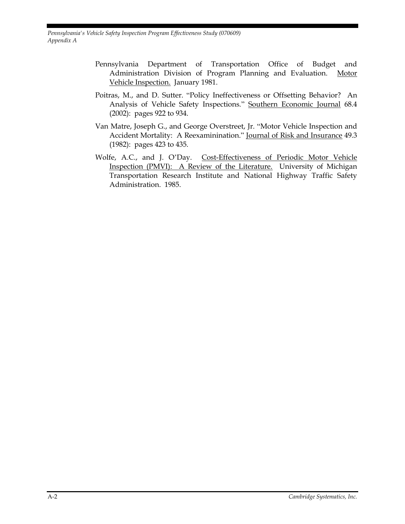*Pennsylvania's Vehicle Safety Inspection Program Effectiveness Study (070609) Appendix A*

- Pennsylvania Department of Transportation Office of Budget and Administration Division of Program Planning and Evaluation. Motor Vehicle Inspection. January 1981.
- Poitras, M., and D. Sutter. "Policy Ineffectiveness or Offsetting Behavior? An Analysis of Vehicle Safety Inspections." Southern Economic Journal 68.4 (2002): pages 922 to 934.
- Van Matre, Joseph G., and George Overstreet, Jr. "Motor Vehicle Inspection and Accident Mortality: A Reexaminination." Journal of Risk and Insurance 49.3 (1982): pages 423 to 435.
- Wolfe, A.C., and J. O'Day. Cost-Effectiveness of Periodic Motor Vehicle Inspection (PMVI): A Review of the Literature. University of Michigan Transportation Research Institute and National Highway Traffic Safety Administration. 1985.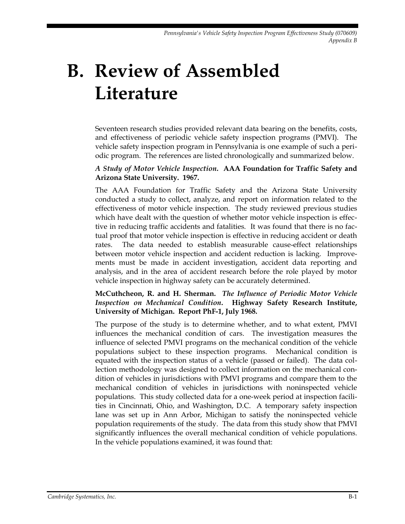# **B. Review of Assembled Literature**

Seventeen research studies provided relevant data bearing on the benefits, costs, and effectiveness of periodic vehicle safety inspection programs (PMVI). The vehicle safety inspection program in Pennsylvania is one example of such a periodic program. The references are listed chronologically and summarized below.

#### *A Study of Motor Vehicle Inspection***. AAA Foundation for Traffic Safety and Arizona State University. 1967.**

The AAA Foundation for Traffic Safety and the Arizona State University conducted a study to collect, analyze, and report on information related to the effectiveness of motor vehicle inspection. The study reviewed previous studies which have dealt with the question of whether motor vehicle inspection is effective in reducing traffic accidents and fatalities. It was found that there is no factual proof that motor vehicle inspection is effective in reducing accident or death rates. The data needed to establish measurable cause-effect relationships between motor vehicle inspection and accident reduction is lacking. Improvements must be made in accident investigation, accident data reporting and analysis, and in the area of accident research before the role played by motor vehicle inspection in highway safety can be accurately determined.

#### **McCuthcheon, R. and H. Sherman.** *The Influence of Periodic Motor Vehicle Inspection on Mechanical Condition***. Highway Safety Research Institute, University of Michigan. Report PhF-1, July 1968.**

The purpose of the study is to determine whether, and to what extent, PMVI influences the mechanical condition of cars. The investigation measures the influence of selected PMVI programs on the mechanical condition of the vehicle populations subject to these inspection programs. Mechanical condition is equated with the inspection status of a vehicle (passed or failed). The data collection methodology was designed to collect information on the mechanical condition of vehicles in jurisdictions with PMVI programs and compare them to the mechanical condition of vehicles in jurisdictions with noninspected vehicle populations. This study collected data for a one-week period at inspection facilities in Cincinnati, Ohio, and Washington, D.C. A temporary safety inspection lane was set up in Ann Arbor, Michigan to satisfy the noninspected vehicle population requirements of the study. The data from this study show that PMVI significantly influences the overall mechanical condition of vehicle populations. In the vehicle populations examined, it was found that: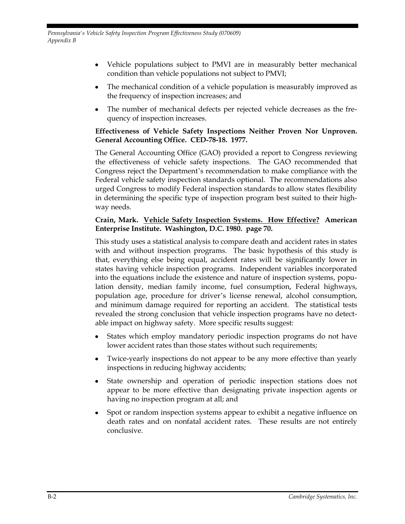- Vehicle populations subject to PMVI are in measurably better mechanical condition than vehicle populations not subject to PMVI;
- The mechanical condition of a vehicle population is measurably improved as the frequency of inspection increases; and
- The number of mechanical defects per rejected vehicle decreases as the frequency of inspection increases.

#### **Effectiveness of Vehicle Safety Inspections Neither Proven Nor Unproven. General Accounting Office. CED-78-18. 1977.**

The General Accounting Office (GAO) provided a report to Congress reviewing the effectiveness of vehicle safety inspections. The GAO recommended that Congress reject the Department's recommendation to make compliance with the Federal vehicle safety inspection standards optional. The recommendations also urged Congress to modify Federal inspection standards to allow states flexibility in determining the specific type of inspection program best suited to their highway needs.

#### **Crain, Mark. Vehicle Safety Inspection Systems. How Effective? American Enterprise Institute. Washington, D.C. 1980. page 70.**

This study uses a statistical analysis to compare death and accident rates in states with and without inspection programs. The basic hypothesis of this study is that, everything else being equal, accident rates will be significantly lower in states having vehicle inspection programs. Independent variables incorporated into the equations include the existence and nature of inspection systems, population density, median family income, fuel consumption, Federal highways, population age, procedure for driver's license renewal, alcohol consumption, and minimum damage required for reporting an accident. The statistical tests revealed the strong conclusion that vehicle inspection programs have no detectable impact on highway safety. More specific results suggest:

- States which employ mandatory periodic inspection programs do not have lower accident rates than those states without such requirements;
- Twice-yearly inspections do not appear to be any more effective than yearly inspections in reducing highway accidents;
- $\bullet$ State ownership and operation of periodic inspection stations does not appear to be more effective than designating private inspection agents or having no inspection program at all; and
- Spot or random inspection systems appear to exhibit a negative influence on death rates and on nonfatal accident rates. These results are not entirely conclusive.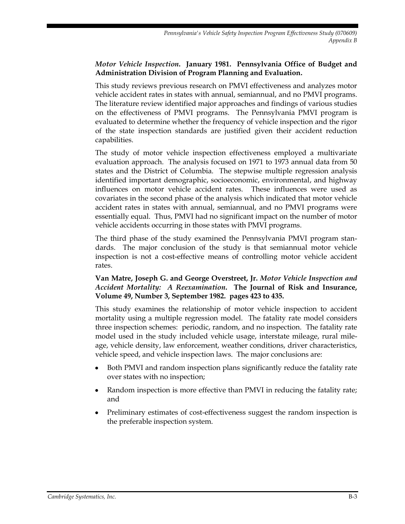#### *Motor Vehicle Inspection***. January 1981. Pennsylvania Office of Budget and Administration Division of Program Planning and Evaluation.**

This study reviews previous research on PMVI effectiveness and analyzes motor vehicle accident rates in states with annual, semiannual, and no PMVI programs. The literature review identified major approaches and findings of various studies on the effectiveness of PMVI programs. The Pennsylvania PMVI program is evaluated to determine whether the frequency of vehicle inspection and the rigor of the state inspection standards are justified given their accident reduction capabilities.

The study of motor vehicle inspection effectiveness employed a multivariate evaluation approach. The analysis focused on 1971 to 1973 annual data from 50 states and the District of Columbia. The stepwise multiple regression analysis identified important demographic, socioeconomic, environmental, and highway influences on motor vehicle accident rates. These influences were used as covariates in the second phase of the analysis which indicated that motor vehicle accident rates in states with annual, semiannual, and no PMVI programs were essentially equal. Thus, PMVI had no significant impact on the number of motor vehicle accidents occurring in those states with PMVI programs.

The third phase of the study examined the Pennsylvania PMVI program standards. The major conclusion of the study is that semiannual motor vehicle inspection is not a cost-effective means of controlling motor vehicle accident rates.

#### **Van Matre, Joseph G. and George Overstreet, Jr.** *Motor Vehicle Inspection and Accident Mortality: A Reexamination***. The Journal of Risk and Insurance, Volume 49, Number 3, September 1982. pages 423 to 435.**

This study examines the relationship of motor vehicle inspection to accident mortality using a multiple regression model. The fatality rate model considers three inspection schemes: periodic, random, and no inspection. The fatality rate model used in the study included vehicle usage, interstate mileage, rural mileage, vehicle density, law enforcement, weather conditions, driver characteristics, vehicle speed, and vehicle inspection laws. The major conclusions are:

- Both PMVI and random inspection plans significantly reduce the fatality rate over states with no inspection;
- Random inspection is more effective than PMVI in reducing the fatality rate; and
- Preliminary estimates of cost-effectiveness suggest the random inspection is the preferable inspection system.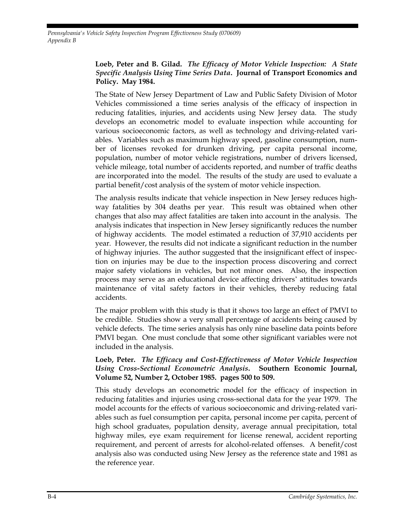*Pennsylvania's Vehicle Safety Inspection Program Effectiveness Study (070609) Appendix B*

#### **Loeb, Peter and B. Gilad.** *The Efficacy of Motor Vehicle Inspection: A State Specific Analysis Using Time Series Data***. Journal of Transport Economics and Policy. May 1984.**

The State of New Jersey Department of Law and Public Safety Division of Motor Vehicles commissioned a time series analysis of the efficacy of inspection in reducing fatalities, injuries, and accidents using New Jersey data. The study develops an econometric model to evaluate inspection while accounting for various socioeconomic factors, as well as technology and driving-related variables. Variables such as maximum highway speed, gasoline consumption, number of licenses revoked for drunken driving, per capita personal income, population, number of motor vehicle registrations, number of drivers licensed, vehicle mileage, total number of accidents reported, and number of traffic deaths are incorporated into the model. The results of the study are used to evaluate a partial benefit/cost analysis of the system of motor vehicle inspection.

The analysis results indicate that vehicle inspection in New Jersey reduces highway fatalities by 304 deaths per year. This result was obtained when other changes that also may affect fatalities are taken into account in the analysis. The analysis indicates that inspection in New Jersey significantly reduces the number of highway accidents. The model estimated a reduction of 37,910 accidents per year. However, the results did not indicate a significant reduction in the number of highway injuries. The author suggested that the insignificant effect of inspection on injuries may be due to the inspection process discovering and correct major safety violations in vehicles, but not minor ones. Also, the inspection process may serve as an educational device affecting drivers' attitudes towards maintenance of vital safety factors in their vehicles, thereby reducing fatal accidents.

The major problem with this study is that it shows too large an effect of PMVI to be credible. Studies show a very small percentage of accidents being caused by vehicle defects. The time series analysis has only nine baseline data points before PMVI began. One must conclude that some other significant variables were not included in the analysis.

#### **Loeb, Peter.** *The Efficacy and Cost-Effectiveness of Motor Vehicle Inspection Using Cross-Sectional Econometric Analysis***. Southern Economic Journal, Volume 52, Number 2, October 1985. pages 500 to 509.**

This study develops an econometric model for the efficacy of inspection in reducing fatalities and injuries using cross-sectional data for the year 1979. The model accounts for the effects of various socioeconomic and driving-related variables such as fuel consumption per capita, personal income per capita, percent of high school graduates, population density, average annual precipitation, total highway miles, eye exam requirement for license renewal, accident reporting requirement, and percent of arrests for alcohol-related offenses. A benefit/cost analysis also was conducted using New Jersey as the reference state and 1981 as the reference year.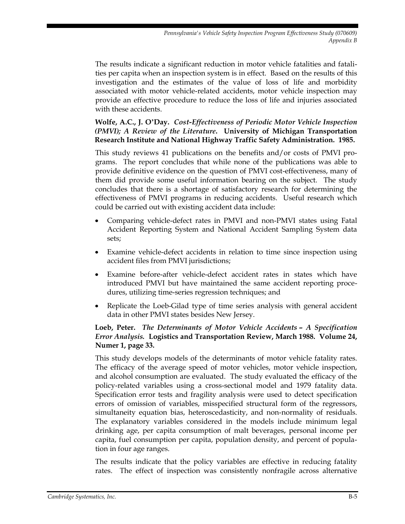The results indicate a significant reduction in motor vehicle fatalities and fatalities per capita when an inspection system is in effect. Based on the results of this investigation and the estimates of the value of loss of life and morbidity associated with motor vehicle-related accidents, motor vehicle inspection may provide an effective procedure to reduce the loss of life and injuries associated with these accidents.

#### **Wolfe, A.C., J. O'Day.** *Cost-Effectiveness of Periodic Motor Vehicle Inspection (PMVI); A Review of the Literature***. University of Michigan Transportation Research Institute and National Highway Traffic Safety Administration. 1985.**

This study reviews 41 publications on the benefits and/or costs of PMVI programs. The report concludes that while none of the publications was able to provide definitive evidence on the question of PMVI cost-effectiveness, many of them did provide some useful information bearing on the subject. The study concludes that there is a shortage of satisfactory research for determining the effectiveness of PMVI programs in reducing accidents. Useful research which could be carried out with existing accident data include:

- Comparing vehicle-defect rates in PMVI and non-PMVI states using Fatal Accident Reporting System and National Accident Sampling System data sets;
- Examine vehicle-defect accidents in relation to time since inspection using accident files from PMVI jurisdictions;
- Examine before-after vehicle-defect accident rates in states which have introduced PMVI but have maintained the same accident reporting procedures, utilizing time-series regression techniques; and
- Replicate the Loeb-Gilad type of time series analysis with general accident data in other PMVI states besides New Jersey.

#### **Loeb, Peter.** *The Determinants of Motor Vehicle Accidents – A Specification Error Analysis.* **Logistics and Transportation Review, March 1988. Volume 24, Numer 1, page 33.**

This study develops models of the determinants of motor vehicle fatality rates. The efficacy of the average speed of motor vehicles, motor vehicle inspection, and alcohol consumption are evaluated. The study evaluated the efficacy of the policy-related variables using a cross-sectional model and 1979 fatality data. Specification error tests and fragility analysis were used to detect specification errors of omission of variables, misspecified structural form of the regressors, simultaneity equation bias, heteroscedasticity, and non-normality of residuals. The explanatory variables considered in the models include minimum legal drinking age, per capita consumption of malt beverages, personal income per capita, fuel consumption per capita, population density, and percent of population in four age ranges.

The results indicate that the policy variables are effective in reducing fatality rates. The effect of inspection was consistently nonfragile across alternative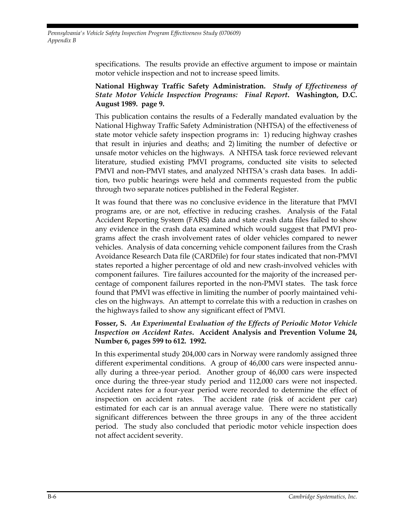*Pennsylvania's Vehicle Safety Inspection Program Effectiveness Study (070609) Appendix B*

> specifications. The results provide an effective argument to impose or maintain motor vehicle inspection and not to increase speed limits.

#### **National Highway Traffic Safety Administration.** *Study of Effectiveness of State Motor Vehicle Inspection Programs: Final Report***. Washington, D.C. August 1989. page 9.**

This publication contains the results of a Federally mandated evaluation by the National Highway Traffic Safety Administration (NHTSA) of the effectiveness of state motor vehicle safety inspection programs in: 1) reducing highway crashes that result in injuries and deaths; and 2) limiting the number of defective or unsafe motor vehicles on the highways. A NHTSA task force reviewed relevant literature, studied existing PMVI programs, conducted site visits to selected PMVI and non-PMVI states, and analyzed NHTSA's crash data bases. In addition, two public hearings were held and comments requested from the public through two separate notices published in the Federal Register.

It was found that there was no conclusive evidence in the literature that PMVI programs are, or are not, effective in reducing crashes. Analysis of the Fatal Accident Reporting System (FARS) data and state crash data files failed to show any evidence in the crash data examined which would suggest that PMVI programs affect the crash involvement rates of older vehicles compared to newer vehicles. Analysis of data concerning vehicle component failures from the Crash Avoidance Research Data file (CARDfile) for four states indicated that non-PMVI states reported a higher percentage of old and new crash-involved vehicles with component failures. Tire failures accounted for the majority of the increased percentage of component failures reported in the non-PMVI states. The task force found that PMVI was effective in limiting the number of poorly maintained vehicles on the highways. An attempt to correlate this with a reduction in crashes on the highways failed to show any significant effect of PMVI.

#### **Fosser, S.** *An Experimental Evaluation of the Effects of Periodic Motor Vehicle Inspection on Accident Rates***. Accident Analysis and Prevention Volume 24, Number 6, pages 599 to 612. 1992.**

In this experimental study 204,000 cars in Norway were randomly assigned three different experimental conditions. A group of 46,000 cars were inspected annually during a three-year period. Another group of 46,000 cars were inspected once during the three-year study period and 112,000 cars were not inspected. Accident rates for a four-year period were recorded to determine the effect of inspection on accident rates. The accident rate (risk of accident per car) estimated for each car is an annual average value. There were no statistically significant differences between the three groups in any of the three accident period. The study also concluded that periodic motor vehicle inspection does not affect accident severity.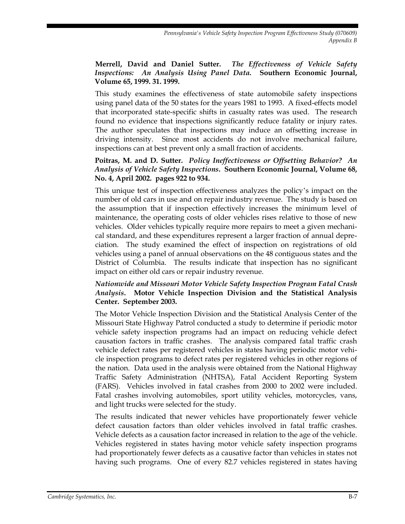#### **Merrell, David and Daniel Sutter.** *The Effectiveness of Vehicle Safety Inspections: An Analysis Using Panel Data.* **Southern Economic Journal, Volume 65, 1999. 31. 1999.**

This study examines the effectiveness of state automobile safety inspections using panel data of the 50 states for the years 1981 to 1993. A fixed-effects model that incorporated state-specific shifts in casualty rates was used. The research found no evidence that inspections significantly reduce fatality or injury rates. The author speculates that inspections may induce an offsetting increase in driving intensity. Since most accidents do not involve mechanical failure, inspections can at best prevent only a small fraction of accidents.

**Poitras, M. and D. Sutter.** *Policy Ineffectiveness or Offsetting Behavior? An Analysis of Vehicle Safety Inspections***. Southern Economic Journal, Volume 68, No. 4, April 2002. pages 922 to 934.** 

This unique test of inspection effectiveness analyzes the policy's impact on the number of old cars in use and on repair industry revenue. The study is based on the assumption that if inspection effectively increases the minimum level of maintenance, the operating costs of older vehicles rises relative to those of new vehicles. Older vehicles typically require more repairs to meet a given mechanical standard, and these expenditures represent a larger fraction of annual depreciation. The study examined the effect of inspection on registrations of old vehicles using a panel of annual observations on the 48 contiguous states and the District of Columbia. The results indicate that inspection has no significant impact on either old cars or repair industry revenue.

#### *Nationwide and Missouri Motor Vehicle Safety Inspection Program Fatal Crash Analysis***. Motor Vehicle Inspection Division and the Statistical Analysis Center. September 2003.**

The Motor Vehicle Inspection Division and the Statistical Analysis Center of the Missouri State Highway Patrol conducted a study to determine if periodic motor vehicle safety inspection programs had an impact on reducing vehicle defect causation factors in traffic crashes. The analysis compared fatal traffic crash vehicle defect rates per registered vehicles in states having periodic motor vehicle inspection programs to defect rates per registered vehicles in other regions of the nation. Data used in the analysis were obtained from the National Highway Traffic Safety Administration (NHTSA), Fatal Accident Reporting System (FARS). Vehicles involved in fatal crashes from 2000 to 2002 were included. Fatal crashes involving automobiles, sport utility vehicles, motorcycles, vans, and light trucks were selected for the study.

The results indicated that newer vehicles have proportionately fewer vehicle defect causation factors than older vehicles involved in fatal traffic crashes. Vehicle defects as a causation factor increased in relation to the age of the vehicle. Vehicles registered in states having motor vehicle safety inspection programs had proportionately fewer defects as a causative factor than vehicles in states not having such programs. One of every 82.7 vehicles registered in states having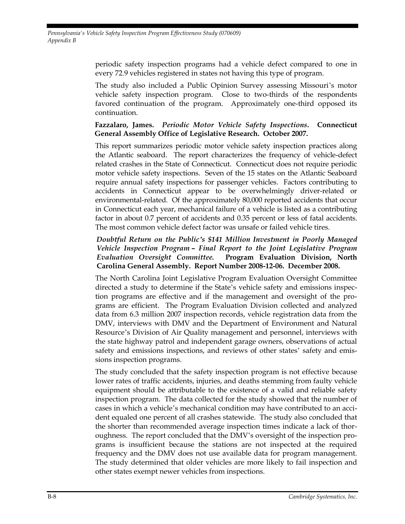*Pennsylvania's Vehicle Safety Inspection Program Effectiveness Study (070609) Appendix B*

> periodic safety inspection programs had a vehicle defect compared to one in every 72.9 vehicles registered in states not having this type of program.

> The study also included a Public Opinion Survey assessing Missouri's motor vehicle safety inspection program. Close to two-thirds of the respondents favored continuation of the program. Approximately one-third opposed its continuation.

#### **Fazzalaro, James.** *Periodic Motor Vehicle Safety Inspections***. Connecticut General Assembly Office of Legislative Research. October 2007.**

This report summarizes periodic motor vehicle safety inspection practices along the Atlantic seaboard. The report characterizes the frequency of vehicle-defect related crashes in the State of Connecticut. Connecticut does not require periodic motor vehicle safety inspections. Seven of the 15 states on the Atlantic Seaboard require annual safety inspections for passenger vehicles. Factors contributing to accidents in Connecticut appear to be overwhelmingly driver-related or environmental-related. Of the approximately 80,000 reported accidents that occur in Connecticut each year, mechanical failure of a vehicle is listed as a contributing factor in about 0.7 percent of accidents and 0.35 percent or less of fatal accidents. The most common vehicle defect factor was unsafe or failed vehicle tires.

#### *Doubtful Return on the Public's \$141 Million Investment in Poorly Managed Vehicle Inspection Program – Final Report to the Joint Legislative Program Evaluation Oversight Committee.* **Program Evaluation Division, North Carolina General Assembly. Report Number 2008-12-06. December 2008.**

The North Carolina Joint Legislative Program Evaluation Oversight Committee directed a study to determine if the State's vehicle safety and emissions inspection programs are effective and if the management and oversight of the programs are efficient. The Program Evaluation Division collected and analyzed data from 6.3 million 2007 inspection records, vehicle registration data from the DMV, interviews with DMV and the Department of Environment and Natural Resource's Division of Air Quality management and personnel, interviews with the state highway patrol and independent garage owners, observations of actual safety and emissions inspections, and reviews of other states' safety and emissions inspection programs.

The study concluded that the safety inspection program is not effective because lower rates of traffic accidents, injuries, and deaths stemming from faulty vehicle equipment should be attributable to the existence of a valid and reliable safety inspection program. The data collected for the study showed that the number of cases in which a vehicle's mechanical condition may have contributed to an accident equaled one percent of all crashes statewide. The study also concluded that the shorter than recommended average inspection times indicate a lack of thoroughness. The report concluded that the DMV's oversight of the inspection programs is insufficient because the stations are not inspected at the required frequency and the DMV does not use available data for program management. The study determined that older vehicles are more likely to fail inspection and other states exempt newer vehicles from inspections.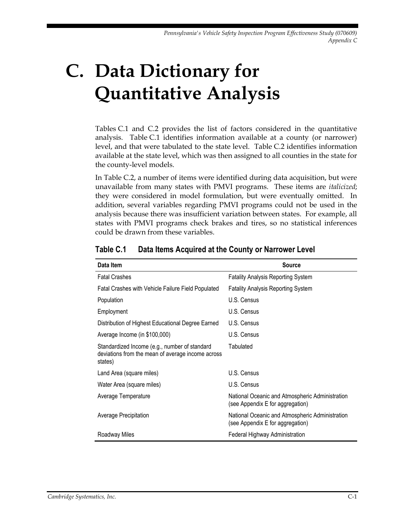# **C. Data Dictionary for Quantitative Analysis**

Tables C.1 and C.2 provides the list of factors considered in the quantitative analysis. Table C.1 identifies information available at a county (or narrower) level, and that were tabulated to the state level. Table C.2 identifies information available at the state level, which was then assigned to all counties in the state for the county-level models.

In Table C.2, a number of items were identified during data acquisition, but were unavailable from many states with PMVI programs. These items are *italicized*; they were considered in model formulation, but were eventually omitted. In addition, several variables regarding PMVI programs could not be used in the analysis because there was insufficient variation between states. For example, all states with PMVI programs check brakes and tires, so no statistical inferences could be drawn from these variables.

| Data Item                                                                                                     | <b>Source</b>                                                                       |
|---------------------------------------------------------------------------------------------------------------|-------------------------------------------------------------------------------------|
| <b>Fatal Crashes</b>                                                                                          | <b>Fatality Analysis Reporting System</b>                                           |
| Fatal Crashes with Vehicle Failure Field Populated                                                            | <b>Fatality Analysis Reporting System</b>                                           |
| Population                                                                                                    | U.S. Census                                                                         |
| Employment                                                                                                    | U.S. Census                                                                         |
| Distribution of Highest Educational Degree Earned                                                             | U.S. Census                                                                         |
| Average Income (in \$100,000)                                                                                 | U.S. Census                                                                         |
| Standardized Income (e.g., number of standard<br>deviations from the mean of average income across<br>states) | Tabulated                                                                           |
| Land Area (square miles)                                                                                      | U.S. Census                                                                         |
| Water Area (square miles)                                                                                     | U.S. Census                                                                         |
| Average Temperature                                                                                           | National Oceanic and Atmospheric Administration<br>(see Appendix E for aggregation) |
| Average Precipitation                                                                                         | National Oceanic and Atmospheric Administration<br>(see Appendix E for aggregation) |
| Roadway Miles                                                                                                 | Federal Highway Administration                                                      |

#### **Table C.1 Data Items Acquired at the County or Narrower Level**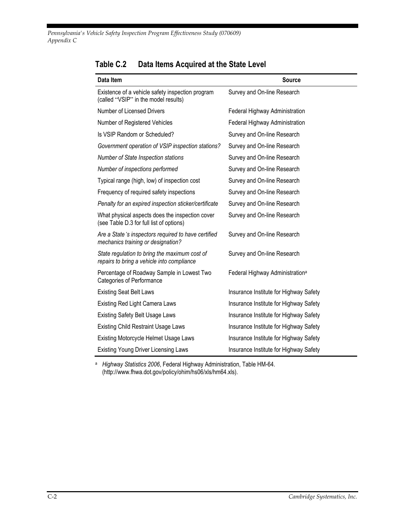*Pennsylvania's Vehicle Safety Inspection Program Effectiveness Study (070609) Appendix C*

| Data Item                                                                                   | <b>Source</b>                               |
|---------------------------------------------------------------------------------------------|---------------------------------------------|
| Existence of a vehicle safety inspection program<br>(called "VSIP" in the model results)    | Survey and On-line Research                 |
| Number of Licensed Drivers                                                                  | Federal Highway Administration              |
| Number of Registered Vehicles                                                               | Federal Highway Administration              |
| Is VSIP Random or Scheduled?                                                                | Survey and On-line Research                 |
| Government operation of VSIP inspection stations?                                           | Survey and On-line Research                 |
| Number of State Inspection stations                                                         | Survey and On-line Research                 |
| Number of inspections performed                                                             | Survey and On-line Research                 |
| Typical range (high, low) of inspection cost                                                | Survey and On-line Research                 |
| Frequency of required safety inspections                                                    | Survey and On-line Research                 |
| Penalty for an expired inspection sticker/certificate                                       | Survey and On-line Research                 |
| What physical aspects does the inspection cover<br>(see Table D.3 for full list of options) | Survey and On-line Research                 |
| Are a State's inspectors required to have certified<br>mechanics training or designation?   | Survey and On-line Research                 |
| State regulation to bring the maximum cost of<br>repairs to bring a vehicle into compliance | Survey and On-line Research                 |
| Percentage of Roadway Sample in Lowest Two<br><b>Categories of Performance</b>              | Federal Highway Administration <sup>a</sup> |
| <b>Existing Seat Belt Laws</b>                                                              | Insurance Institute for Highway Safety      |
| <b>Existing Red Light Camera Laws</b>                                                       | Insurance Institute for Highway Safety      |
| <b>Existing Safety Belt Usage Laws</b>                                                      | Insurance Institute for Highway Safety      |
| <b>Existing Child Restraint Usage Laws</b>                                                  | Insurance Institute for Highway Safety      |
| Existing Motorcycle Helmet Usage Laws                                                       | Insurance Institute for Highway Safety      |
| <b>Existing Young Driver Licensing Laws</b>                                                 | Insurance Institute for Highway Safety      |

## **Table C.2 Data Items Acquired at the State Level**

<sup>a</sup> *Highway Statistics 2006*, Federal Highway Administration, Table HM-64. (http://www.fhwa.dot.gov/policy/ohim/hs06/xls/hm64.xls).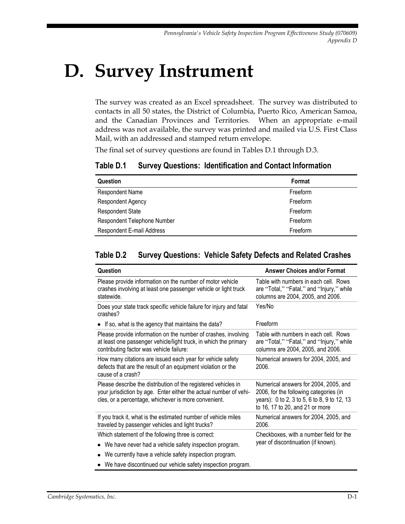# **D. Survey Instrument**

The survey was created as an Excel spreadsheet. The survey was distributed to contacts in all 50 states, the District of Columbia, Puerto Rico, American Samoa, and the Canadian Provinces and Territories. When an appropriate e-mail address was not available, the survey was printed and mailed via U.S. First Class Mail, with an addressed and stamped return envelope.

The final set of survey questions are found in Tables D.1 through D.3.

| Table D.1 | <b>Survey Questions: Identification and Contact Information</b> |  |  |  |
|-----------|-----------------------------------------------------------------|--|--|--|
|-----------|-----------------------------------------------------------------|--|--|--|

| Question                    | Format   |
|-----------------------------|----------|
| Respondent Name             | Freeform |
| Respondent Agency           | Freeform |
| <b>Respondent State</b>     | Freeform |
| Respondent Telephone Number | Freeform |
| Respondent E-mail Address   | Freeform |

#### **Table D.2 Survey Questions: Vehicle Safety Defects and Related Crashes**

| Question                                                                                                                                                                                    | <b>Answer Choices and/or Format</b>                                                                                                                               |
|---------------------------------------------------------------------------------------------------------------------------------------------------------------------------------------------|-------------------------------------------------------------------------------------------------------------------------------------------------------------------|
| Please provide information on the number of motor vehicle<br>crashes involving at least one passenger vehicle or light truck<br>statewide.                                                  | Table with numbers in each cell. Rows<br>are "Total," "Fatal," and "Injury," while<br>columns are 2004, 2005, and 2006.                                           |
| Does your state track specific vehicle failure for injury and fatal<br>crashes?                                                                                                             | Yes/No                                                                                                                                                            |
| • If so, what is the agency that maintains the data?                                                                                                                                        | Freeform                                                                                                                                                          |
| Please provide information on the number of crashes, involving<br>at least one passenger vehicle/light truck, in which the primary<br>contributing factor was vehicle failure:              | Table with numbers in each cell. Rows<br>are "Total," "Fatal," and "Injury," while<br>columns are 2004, 2005, and 2006.                                           |
| How many citations are issued each year for vehicle safety<br>defects that are the result of an equipment violation or the<br>cause of a crash?                                             | Numerical answers for 2004, 2005, and<br>2006.                                                                                                                    |
| Please describe the distribution of the registered vehicles in<br>your jurisdiction by age. Enter either the actual number of vehi-<br>cles, or a percentage, whichever is more convenient. | Numerical answers for 2004, 2005, and<br>2006, for the following categories (in<br>years): 0 to 2, 3 to 5, 6 to 8, 9 to 12, 13<br>to 16, 17 to 20, and 21 or more |
| If you track it, what is the estimated number of vehicle miles<br>traveled by passenger vehicles and light trucks?                                                                          | Numerical answers for 2004, 2005, and<br>2006.                                                                                                                    |
| Which statement of the following three is correct:                                                                                                                                          | Checkboxes, with a number field for the                                                                                                                           |
| • We have never had a vehicle safety inspection program.                                                                                                                                    | year of discontinuation (if known).                                                                                                                               |
| We currently have a vehicle safety inspection program.<br>$\bullet$                                                                                                                         |                                                                                                                                                                   |
| • We have discontinued our vehicle safety inspection program.                                                                                                                               |                                                                                                                                                                   |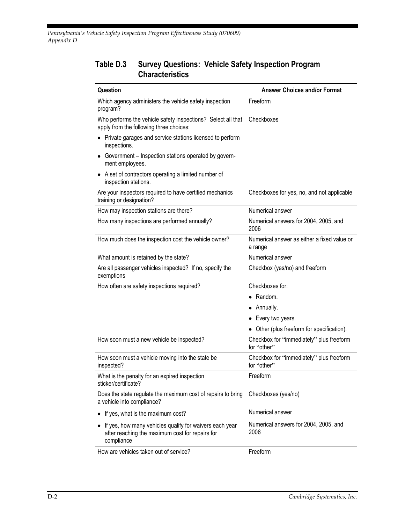#### **Table D.3 Survey Questions: Vehicle Safety Inspection Program Characteristics**

| Question                                                                                                                 | <b>Answer Choices and/or Format</b>                     |
|--------------------------------------------------------------------------------------------------------------------------|---------------------------------------------------------|
| Which agency administers the vehicle safety inspection<br>program?                                                       | Freeform                                                |
| Who performs the vehicle safety inspections? Select all that<br>apply from the following three choices:                  | Checkboxes                                              |
| • Private garages and service stations licensed to perform<br>inspections.                                               |                                                         |
| • Government - Inspection stations operated by govern-<br>ment employees.                                                |                                                         |
| • A set of contractors operating a limited number of<br>inspection stations.                                             |                                                         |
| Are your inspectors required to have certified mechanics<br>training or designation?                                     | Checkboxes for yes, no, and not applicable              |
| How may inspection stations are there?                                                                                   | Numerical answer                                        |
| How many inspections are performed annually?                                                                             | Numerical answers for 2004, 2005, and<br>2006           |
| How much does the inspection cost the vehicle owner?                                                                     | Numerical answer as either a fixed value or<br>a range  |
| What amount is retained by the state?                                                                                    | Numerical answer                                        |
| Are all passenger vehicles inspected? If no, specify the<br>exemptions                                                   | Checkbox (yes/no) and freeform                          |
| How often are safety inspections required?                                                                               | Checkboxes for:                                         |
|                                                                                                                          | • Random.                                               |
|                                                                                                                          | • Annually.                                             |
|                                                                                                                          | Every two years.                                        |
|                                                                                                                          | Other (plus freeform for specification).                |
| How soon must a new vehicle be inspected?                                                                                | Checkbox for "immediately" plus freeform<br>for "other" |
| How soon must a vehicle moving into the state be<br>inspected?                                                           | Checkbox for "immediately" plus freeform<br>for "other" |
| What is the penalty for an expired inspection<br>sticker/certificate?                                                    | Freeform                                                |
| Does the state regulate the maximum cost of repairs to bring<br>a vehicle into compliance?                               | Checkboxes (yes/no)                                     |
| If yes, what is the maximum cost?                                                                                        | Numerical answer                                        |
| If yes, how many vehicles qualify for waivers each year<br>after reaching the maximum cost for repairs for<br>compliance | Numerical answers for 2004, 2005, and<br>2006           |
| How are vehicles taken out of service?                                                                                   | Freeform                                                |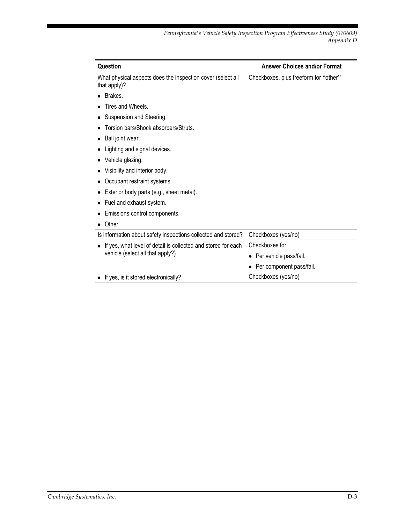| Question                                                                                          | <b>Answer Choices and/or Format</b>   |
|---------------------------------------------------------------------------------------------------|---------------------------------------|
| What physical aspects does the inspection cover (select all<br>that apply)?                       | Checkboxes, plus freeform for "other" |
| Brakes.                                                                                           |                                       |
| Tires and Wheels.                                                                                 |                                       |
| Suspension and Steering.                                                                          |                                       |
| Torsion bars/Shock absorbers/Struts.                                                              |                                       |
| Ball joint wear.                                                                                  |                                       |
| Lighting and signal devices.                                                                      |                                       |
| Vehicle glazing.                                                                                  |                                       |
| Visibility and interior body.                                                                     |                                       |
| Occupant restraint systems.                                                                       |                                       |
| Exterior body parts (e.g., sheet metal).                                                          |                                       |
| Fuel and exhaust system.                                                                          |                                       |
| Emissions control components.                                                                     |                                       |
| Other.                                                                                            |                                       |
| Is information about safety inspections collected and stored?                                     | Checkboxes (yes/no)                   |
| If yes, what level of detail is collected and stored for each<br>vehicle (select all that apply?) | Checkboxes for:                       |
|                                                                                                   | Per vehicle pass/fail.                |
|                                                                                                   | Per component pass/fail.              |
| If yes, is it stored electronically?                                                              | Checkboxes (yes/no)                   |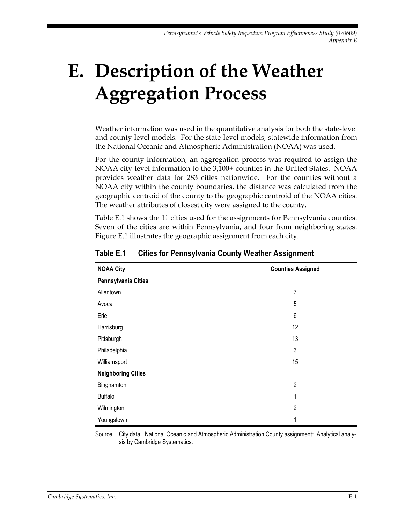# **E. Description of the Weather Aggregation Process**

Weather information was used in the quantitative analysis for both the state-level and county-level models. For the state-level models, statewide information from the National Oceanic and Atmospheric Administration (NOAA) was used.

For the county information, an aggregation process was required to assign the NOAA city-level information to the 3,100+ counties in the United States. NOAA provides weather data for 283 cities nationwide. For the counties without a NOAA city within the county boundaries, the distance was calculated from the geographic centroid of the county to the geographic centroid of the NOAA cities. The weather attributes of closest city were assigned to the county.

Table E.1 shows the 11 cities used for the assignments for Pennsylvania counties. Seven of the cities are within Pennsylvania, and four from neighboring states. Figure E.1 illustrates the geographic assignment from each city.

| <b>NOAA City</b>          | <b>Counties Assigned</b> |
|---------------------------|--------------------------|
| Pennsylvania Cities       |                          |
| Allentown                 | 7                        |
| Avoca                     | 5                        |
| Erie                      | 6                        |
| Harrisburg                | 12                       |
| Pittsburgh                | 13                       |
| Philadelphia              | 3                        |
| Williamsport              | 15                       |
| <b>Neighboring Cities</b> |                          |
| Binghamton                | $\overline{c}$           |
| <b>Buffalo</b>            | 1                        |
| Wilmington                | $\overline{2}$           |
| Youngstown                | 1                        |

**Table E.1 Cities for Pennsylvania County Weather Assignment**

Source: City data: National Oceanic and Atmospheric Administration County assignment: Analytical analysis by Cambridge Systematics.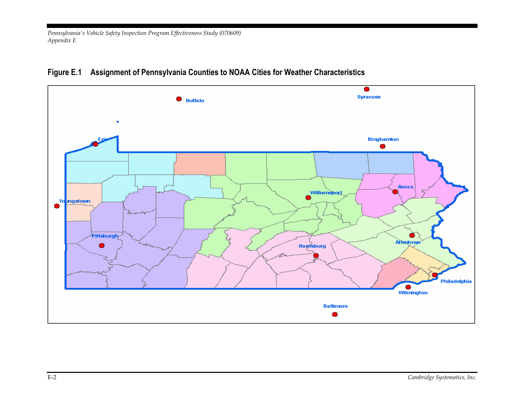*Pennsylvania's Vehicle Safety Inspection Program Effectiveness Study (070609) Appendix E*



#### **Figure E.1 Assignment of Pennsylvania Counties to NOAA Cities for Weather Characteristics**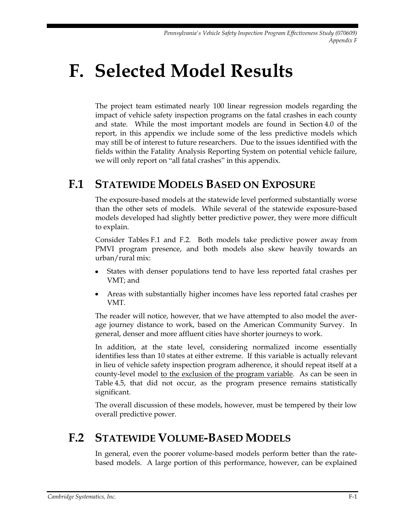## **F. Selected Model Results**

The project team estimated nearly 100 linear regression models regarding the impact of vehicle safety inspection programs on the fatal crashes in each county and state. While the most important models are found in Section 4.0 of the report, in this appendix we include some of the less predictive models which may still be of interest to future researchers. Due to the issues identified with the fields within the Fatality Analysis Reporting System on potential vehicle failure, we will only report on "all fatal crashes" in this appendix.

### **F.1 STATEWIDE MODELS BASED ON EXPOSURE**

The exposure-based models at the statewide level performed substantially worse than the other sets of models. While several of the statewide exposure-based models developed had slightly better predictive power, they were more difficult to explain.

Consider Tables F.1 and F.2. Both models take predictive power away from PMVI program presence, and both models also skew heavily towards an urban/rural mix:

- States with denser populations tend to have less reported fatal crashes per VMT; and
- Areas with substantially higher incomes have less reported fatal crashes per VMT.

The reader will notice, however, that we have attempted to also model the average journey distance to work, based on the American Community Survey. In general, denser and more affluent cities have shorter journeys to work.

In addition, at the state level, considering normalized income essentially identifies less than 10 states at either extreme. If this variable is actually relevant in lieu of vehicle safety inspection program adherence, it should repeat itself at a county-level model to the exclusion of the program variable. As can be seen in Table 4.5, that did not occur, as the program presence remains statistically significant.

The overall discussion of these models, however, must be tempered by their low overall predictive power.

### **F.2 STATEWIDE VOLUME-BASED MODELS**

In general, even the poorer volume-based models perform better than the ratebased models. A large portion of this performance, however, can be explained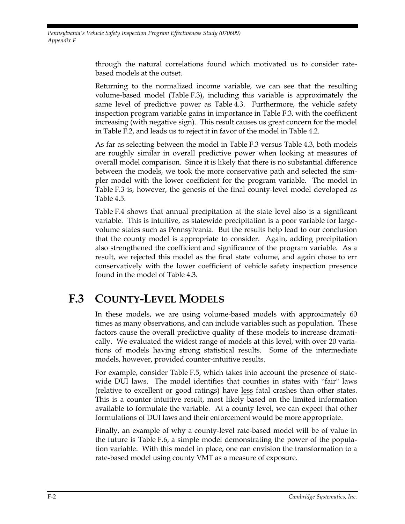*Pennsylvania's Vehicle Safety Inspection Program Effectiveness Study (070609) Appendix F*

> through the natural correlations found which motivated us to consider ratebased models at the outset.

> Returning to the normalized income variable, we can see that the resulting volume-based model (Table F.3), including this variable is approximately the same level of predictive power as Table 4.3. Furthermore, the vehicle safety inspection program variable gains in importance in Table F.3, with the coefficient increasing (with negative sign). This result causes us great concern for the model in Table F.2, and leads us to reject it in favor of the model in Table 4.2.

> As far as selecting between the model in Table F.3 versus Table 4.3, both models are roughly similar in overall predictive power when looking at measures of overall model comparison. Since it is likely that there is no substantial difference between the models, we took the more conservative path and selected the simpler model with the lower coefficient for the program variable. The model in Table F.3 is, however, the genesis of the final county-level model developed as Table 4.5.

> Table F.4 shows that annual precipitation at the state level also is a significant variable. This is intuitive, as statewide precipitation is a poor variable for largevolume states such as Pennsylvania. But the results help lead to our conclusion that the county model is appropriate to consider. Again, adding precipitation also strengthened the coefficient and significance of the program variable. As a result, we rejected this model as the final state volume, and again chose to err conservatively with the lower coefficient of vehicle safety inspection presence found in the model of Table 4.3.

## **F.3 COUNTY-LEVEL MODELS**

In these models, we are using volume-based models with approximately 60 times as many observations, and can include variables such as population. These factors cause the overall predictive quality of these models to increase dramatically. We evaluated the widest range of models at this level, with over 20 variations of models having strong statistical results. Some of the intermediate models, however, provided counter-intuitive results.

For example, consider Table F.5, which takes into account the presence of statewide DUI laws. The model identifies that counties in states with "fair" laws (relative to excellent or good ratings) have less fatal crashes than other states. This is a counter-intuitive result, most likely based on the limited information available to formulate the variable. At a county level, we can expect that other formulations of DUI laws and their enforcement would be more appropriate.

Finally, an example of why a county-level rate-based model will be of value in the future is Table F.6, a simple model demonstrating the power of the population variable. With this model in place, one can envision the transformation to a rate-based model using county VMT as a measure of exposure.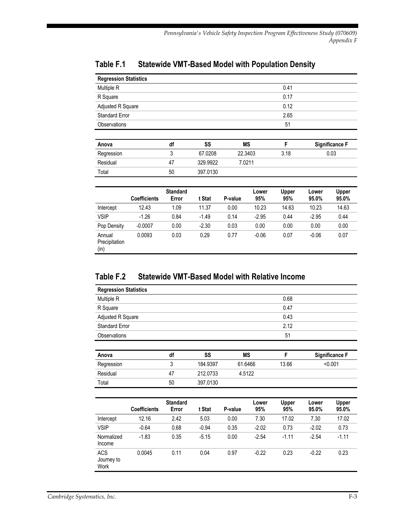| <b>Regression Statistics</b> |    |          |           |      |                       |
|------------------------------|----|----------|-----------|------|-----------------------|
| Multiple R                   |    |          |           | 0.41 |                       |
| R Square                     |    |          |           | 0.17 |                       |
| Adjusted R Square            |    |          |           | 0.12 |                       |
| <b>Standard Error</b>        |    |          |           | 2.65 |                       |
| Observations                 |    |          |           | 51   |                       |
|                              |    |          |           |      |                       |
| Anova                        | df | SS       | <b>MS</b> | F    | <b>Significance F</b> |
| Regression                   | 3  | 67.0208  | 22.3403   | 3.18 | 0.03                  |
| Residual                     | 47 | 329.9922 | 7.0211    |      |                       |
| Total                        | 50 | 397.0130 |           |      |                       |
|                              |    |          |           |      |                       |

#### **Table F.1 Statewide VMT-Based Model with Population Density**

|                                 | <b>Coefficients</b> | <b>Standard</b><br>Error | t Stat  | P-value | Lower<br>95% | Upper<br>95% | Lower<br>95.0% | Upper<br>95.0% |
|---------------------------------|---------------------|--------------------------|---------|---------|--------------|--------------|----------------|----------------|
| Intercept                       | 12.43               | 1.09                     | 11.37   | 0.00    | 10.23        | 14.63        | 10.23          | 14.63          |
| <b>VSIP</b>                     | $-1.26$             | 0.84                     | $-1.49$ | 0.14    | $-2.95$      | 0.44         | $-2.95$        | 0.44           |
| Pop Density                     | $-0.0007$           | 0.00                     | $-2.30$ | 0.03    | 0.00         | 0.00         | 0.00           | 0.00           |
| Annual<br>Precipitation<br>(in) | 0.0093              | 0.03                     | 0.29    | 0.77    | $-0.06$      | 0.07         | $-0.06$        | 0.07           |

#### **Table F.2 Statewide VMT-Based Model with Relative Income**

Total 50 397.0130

| <b>Regression Statistics</b> |    |          |         |       |                       |
|------------------------------|----|----------|---------|-------|-----------------------|
| Multiple R                   |    |          |         | 0.68  |                       |
| R Square                     |    |          |         | 0.47  |                       |
| Adjusted R Square            |    |          |         | 0.43  |                       |
| <b>Standard Error</b>        |    |          |         | 2.12  |                       |
| <b>Observations</b>          |    |          |         | 51    |                       |
|                              |    |          |         |       |                       |
| Anova                        | df | SS       | ΜS      | F     | <b>Significance F</b> |
| Regression                   | 3  | 184.9397 | 61.6466 | 13.66 | < 0.001               |
| Residual                     | 47 | 212.0733 | 4.5122  |       |                       |

|                                  | <b>Coefficients</b> | <b>Standard</b><br>Error | t Stat  | P-value | Lower<br>95% | <b>Upper</b><br>95% | Lower<br>95.0% | Upper<br>95.0% |
|----------------------------------|---------------------|--------------------------|---------|---------|--------------|---------------------|----------------|----------------|
| Intercept                        | 12.16               | 2.42                     | 5.03    | 0.00    | 7.30         | 17.02               | 7.30           | 17.02          |
| <b>VSIP</b>                      | $-0.64$             | 0.68                     | $-0.94$ | 0.35    | $-2.02$      | 0.73                | $-2.02$        | 0.73           |
| Normalized<br>Income             | $-1.83$             | 0.35                     | $-5.15$ | 0.00    | $-2.54$      | $-1.11$             | $-2.54$        | $-1.11$        |
| <b>ACS</b><br>Journey to<br>Work | 0.0045              | 0.11                     | 0.04    | 0.97    | $-0.22$      | 0.23                | $-0.22$        | 0.23           |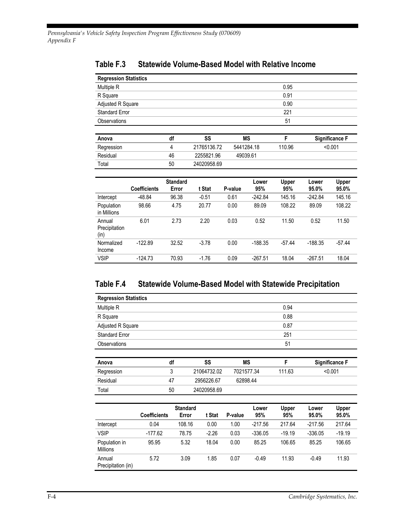Income

l,

| <b>Regression Statistics</b>    |                     |                          |             |         |              |                     |                |                       |  |
|---------------------------------|---------------------|--------------------------|-------------|---------|--------------|---------------------|----------------|-----------------------|--|
| Multiple R                      |                     |                          |             |         |              | 0.95                |                |                       |  |
| 0.91<br>R Square                |                     |                          |             |         |              |                     |                |                       |  |
| Adjusted R Square               |                     |                          |             |         |              | 0.90                |                |                       |  |
| <b>Standard Error</b>           |                     |                          | 221         |         |              |                     |                |                       |  |
| Observations                    |                     |                          |             |         |              | 51                  |                |                       |  |
|                                 |                     |                          |             |         |              |                     |                |                       |  |
| Anova                           |                     | df                       | SS          |         | <b>MS</b>    | F                   |                | <b>Significance F</b> |  |
| Regression                      |                     | 4                        | 21765136.72 |         | 5441284.18   | 110.96              |                | < 0.001               |  |
| Residual                        |                     | 46                       | 2255821.96  |         | 49039.61     |                     |                |                       |  |
| Total                           |                     | 50                       | 24020958.69 |         |              |                     |                |                       |  |
|                                 |                     |                          |             |         |              |                     |                |                       |  |
|                                 | <b>Coefficients</b> | <b>Standard</b><br>Error | t Stat      | P-value | Lower<br>95% | <b>Upper</b><br>95% | Lower<br>95.0% | <b>Upper</b><br>95.0% |  |
| Intercept                       | $-48.84$            | 96.38                    | $-0.51$     | 0.61    | $-242.84$    | 145.16              | $-242.84$      | 145.16                |  |
| Population<br>in Millions       | 98.66               | 4.75                     | 20.77       | 0.00    | 89.09        | 108.22              | 89.09          | 108.22                |  |
| Annual<br>Precipitation<br>(in) | 6.01                | 2.73                     | 2.20        | 0.03    | 0.52         | 11.50               | 0.52           | 11.50                 |  |
| Normalized                      | $-122.89$           | 32.52                    | $-3.78$     | 0.00    | $-188.35$    | $-57.44$            | $-188.35$      | $-57.44$              |  |

#### **Table F.3 Statewide Volume-Based Model with Relative Income**

#### **Table F.4 Statewide Volume-Based Model with Statewide Precipitation**

VSIP -124.73 70.93 -1.76 0.09 -267.51 18.04 -267.51 18.04

| <b>Regression Statistics</b> |    |             |            |        |                       |
|------------------------------|----|-------------|------------|--------|-----------------------|
| Multiple R                   |    |             |            | 0.94   |                       |
| R Square                     |    |             |            | 0.88   |                       |
| Adjusted R Square            |    |             |            | 0.87   |                       |
| <b>Standard Error</b>        |    |             |            | 251    |                       |
| Observations                 |    |             |            | 51     |                       |
|                              |    |             |            |        |                       |
| Anova                        | df | SS          | ΜS         | F      | <b>Significance F</b> |
| Regression                   | 3  | 21064732.02 | 7021577.34 | 111.63 | < 0.001               |
| Residual                     | 47 | 2956226.67  | 62898.44   |        |                       |
| Total                        | 50 | 24020958.69 |            |        |                       |
|                              |    |             |            |        |                       |

|                                  | <b>Coefficients</b> | <b>Standard</b><br>Error | t Stat  | P-value | Lower<br>95% | Upper<br>95% | Lower<br>95.0% | Upper<br>95.0% |
|----------------------------------|---------------------|--------------------------|---------|---------|--------------|--------------|----------------|----------------|
| Intercept                        | 0.04                | 108.16                   | 0.00    | 1.00    | $-217.56$    | 217.64       | $-217.56$      | 217.64         |
| <b>VSIP</b>                      | $-177.62$           | 78.75                    | $-2.26$ | 0.03    | $-336.05$    | $-19.19$     | $-336.05$      | $-19.19$       |
| Population in<br><b>Millions</b> | 95.95               | 5.32                     | 18.04   | 0.00    | 85.25        | 106.65       | 85.25          | 106.65         |
| Annual<br>Precipitation (in)     | 5.72                | 3.09                     | 1.85    | 0.07    | $-0.49$      | 11.93        | $-0.49$        | 11.93          |